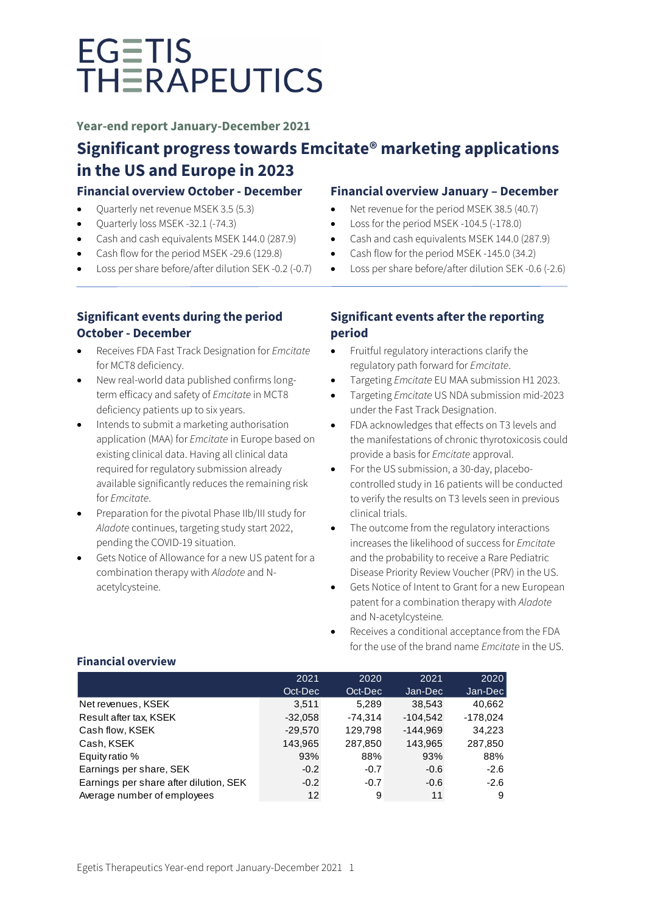**Year-end report January-December 2021**

# **Significant progress towards Emcitate® marketing applications in the US and Europe in 2023**

# **Financial overview October - December**

- Quarterly net revenue MSEK 3.5 (5.3)
- Quarterly loss MSEK -32.1 (-74.3)
- Cash and cash equivalents MSEK 144.0 (287.9)
- Cash flow for the period MSEK -29.6 (129.8)
- Loss per share before/after dilution SEK -0.2 (-0.7)

# **Significant events during the period October - December**

- Receives FDA Fast Track Designation for *Emcitate* for MCT8 deficiency.
- New real-world data published confirms longterm efficacy and safety of *Emcitate* in MCT8 deficiency patients up to six years.
- Intends to submit a marketing authorisation application (MAA) for *Emcitate* in Europe based on existing clinical data. Having all clinical data required for regulatory submission already available significantly reduces the remaining risk for *Emcitate*.
- Preparation for the pivotal Phase IIb/III study for *Aladote* continues, targeting study start 2022, pending the COVID-19 situation.
- Gets Notice of Allowance for a new US patent for a combination therapy with *Aladote* and Nacetylcysteine.

# **Financial overview January – December**

- Net revenue for the period MSEK 38.5 (40.7)
- Loss for the period MSEK -104.5 (-178.0)
- Cash and cash equivalents MSEK 144.0 (287.9)
- Cash flow for the period MSEK -145.0 (34.2)
- Loss per share before/after dilution SEK -0.6 (-2.6)

# **Significant events after the reporting period**

- Fruitful regulatory interactions clarify the regulatory path forward for *Emcitate*.
- Targeting *Emcitate* EU MAA submission H1 2023.
- Targeting *Emcitate* US NDA submission mid-2023 under the Fast Track Designation.
- FDA acknowledges that effects on T3 levels and the manifestations of chronic thyrotoxicosis could provide a basis for *Emcitate* approval.
- For the US submission, a 30-day, placebocontrolled study in 16 patients will be conducted to verify the results on T3 levels seen in previous clinical trials.
- The outcome from the regulatory interactions increases the likelihood of success for *Emcitate* and the probability to receive a Rare Pediatric Disease Priority Review Voucher (PRV) in the US.
- Gets Notice of Intent to Grant for a new European patent for a combination therapy with *Aladote* and N-acetylcysteine*.*
- Receives a conditional acceptance from the FDA for the use of the brand name *Emcitate* in the US.

| 2021      | 2020    | 2021       | 2020       |
|-----------|---------|------------|------------|
| Oct-Dec   | Oct-Dec |            | Jan-Dec    |
| 3,511     | 5,289   | 38,543     | 40,662     |
| $-32,058$ | -74.314 | $-104.542$ | $-178,024$ |
| $-29,570$ | 129,798 | $-144.969$ | 34,223     |
| 143,965   | 287,850 | 143,965    | 287,850    |
| 93%       | 88%     | 93%        | 88%        |
| $-0.2$    | $-0.7$  | $-0.6$     | $-2.6$     |
| $-0.2$    | $-0.7$  | $-0.6$     | $-2.6$     |
| 12        | 9       | 11         | -9         |
|           |         |            | Jan-Dec    |

# **Financial overview**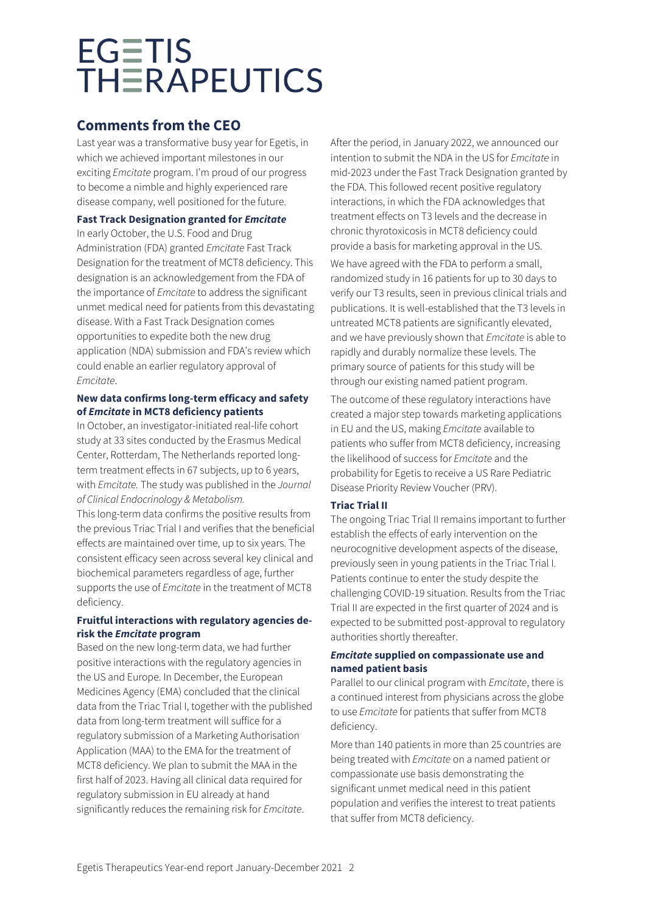# **Comments from the CEO**

Last year was a transformative busy year for Egetis, in which we achieved important milestones in our exciting *Emcitate* program. I'm proud of our progress to become a nimble and highly experienced rare disease company, well positioned for the future.

# **Fast Track Designation granted for** *Emcitate*

In early October, the U.S. Food and Drug Administration (FDA) granted *Emcitate* Fast Track Designation for the treatment of MCT8 deficiency. This designation is an acknowledgement from the FDA of the importance of *Emcitate* to address the significant unmet medical need for patients from this devastating disease. With a Fast Track Designation comes opportunities to expedite both the new drug application (NDA) submission and FDA's review which could enable an earlier regulatory approval of *Emcitate*.

# **New data confirms long-term efficacy and safety of** *Emcitate* **in MCT8 deficiency patients**

In October, an investigator-initiated real-life cohort study at 33 sites conducted by the Erasmus Medical Center, Rotterdam, The Netherlands reported longterm treatment effects in 67 subjects, up to 6 years, with *Emcitate.* The study was published in the *Journal of Clinical Endocrinology & Metabolism.* 

This long-term data confirms the positive results from the previous Triac Trial I and verifies that the beneficial effects are maintained over time, up to six years. The consistent efficacy seen across several key clinical and biochemical parameters regardless of age, further supports the use of *Emcitate* in the treatment of MCT8 deficiency.

# **Fruitful interactions with regulatory agencies derisk the** *Emcitate* **program**

Based on the new long-term data, we had further positive interactions with the regulatory agencies in the US and Europe. In December, the European Medicines Agency (EMA) concluded that the clinical data from the Triac Trial I, together with the published data from long-term treatment will suffice for a regulatory submission of a Marketing Authorisation Application (MAA) to the EMA for the treatment of MCT8 deficiency. We plan to submit the MAA in the first half of 2023. Having all clinical data required for regulatory submission in EU already at hand significantly reduces the remaining risk for *Emcitate*.

After the period, in January 2022, we announced our intention to submit the NDA in the US for *Emcitate* in mid-2023 under the Fast Track Designation granted by the FDA. This followed recent positive regulatory interactions, in which the FDA acknowledges that treatment effects on T3 levels and the decrease in chronic thyrotoxicosis in MCT8 deficiency could provide a basis for marketing approval in the US.

We have agreed with the FDA to perform a small, randomized study in 16 patients for up to 30 days to verify our T3 results, seen in previous clinical trials and publications. It is well-established that the T3 levels in untreated MCT8 patients are significantly elevated, and we have previously shown that *Emcitate* is able to rapidly and durably normalize these levels. The primary source of patients for this study will be through our existing named patient program.

The outcome of these regulatory interactions have created a major step towards marketing applications in EU and the US, making *Emcitate* available to patients who suffer from MCT8 deficiency, increasing the likelihood of success for *Emcitate* and the probability for Egetis to receive a US Rare Pediatric Disease Priority Review Voucher (PRV).

# **Triac Trial II**

The ongoing Triac Trial II remains important to further establish the effects of early intervention on the neurocognitive development aspects of the disease, previously seen in young patients in the Triac Trial I. Patients continue to enter the study despite the challenging COVID-19 situation. Results from the Triac Trial II are expected in the first quarter of 2024 and is expected to be submitted post-approval to regulatory authorities shortly thereafter.

# *Emcitate* **supplied on compassionate use and named patient basis**

Parallel to our clinical program with *Emcitate*, there is a continued interest from physicians across the globe to use *Emcitate* for patients that suffer from MCT8 deficiency.

More than 140 patients in more than 25 countries are being treated with *Emcitate* on a named patient or compassionate use basis demonstrating the significant unmet medical need in this patient population and verifies the interest to treat patients that suffer from MCT8 deficiency.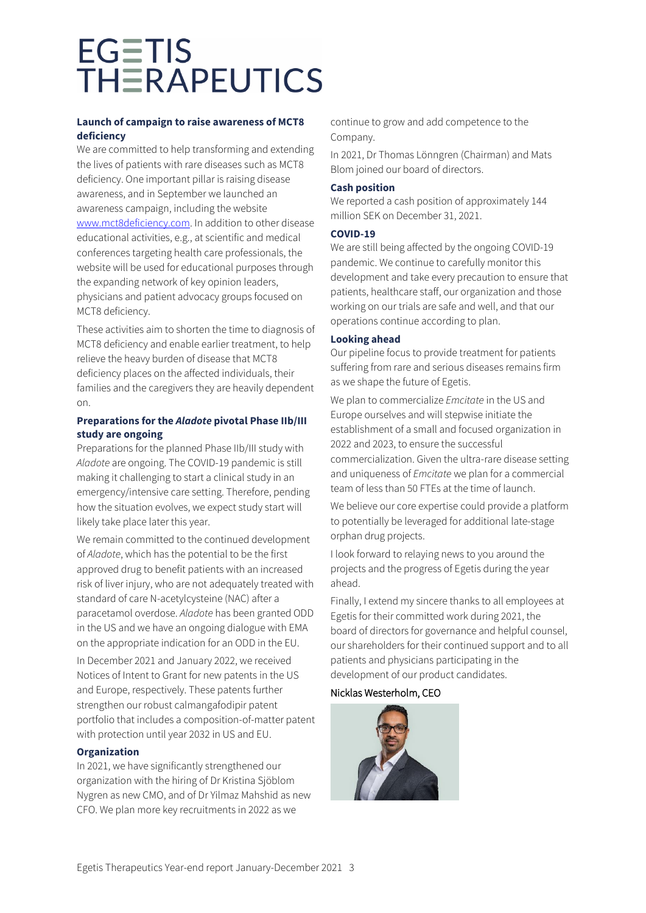# **Launch of campaign to raise awareness of MCT8 deficiency**

We are committed to help transforming and extending the lives of patients with rare diseases such as MCT8 deficiency. One important pillar is raising disease awareness, and in September we launched an awareness campaign, including the website [www.mct8deficiency.com.](http://www.mct8deficiency.com/) In addition to other disease educational activities, e.g., at scientific and medical conferences targeting health care professionals, the website will be used for educational purposes through the expanding network of key opinion leaders, physicians and patient advocacy groups focused on MCT8 deficiency.

These activities aim to shorten the time to diagnosis of MCT8 deficiency and enable earlier treatment, to help relieve the heavy burden of disease that MCT8 deficiency places on the affected individuals, their families and the caregivers they are heavily dependent on.

# **Preparations for the** *Aladote* **pivotal Phase IIb/III study are ongoing**

Preparations for the planned Phase IIb/III study with *Aladote* are ongoing. The COVID-19 pandemic is still making it challenging to start a clinical study in an emergency/intensive care setting. Therefore, pending how the situation evolves, we expect study start will likely take place later this year.

We remain committed to the continued development of *Aladote*, which has the potential to be the first approved drug to benefit patients with an increased risk of liver injury, who are not adequately treated with standard of care N-acetylcysteine (NAC) after a paracetamol overdose. *Aladote* has been granted ODD in the US and we have an ongoing dialogue with EMA on the appropriate indication for an ODD in the EU.

In December 2021 and January 2022, we received Notices of Intent to Grant for new patents in the US and Europe, respectively. These patents further strengthen our robust calmangafodipir patent portfolio that includes a composition-of-matter patent with protection until year 2032 in US and EU.

# **Organization**

In 2021, we have significantly strengthened our organization with the hiring of Dr Kristina Sjöblom Nygren as new CMO, and of Dr Yilmaz Mahshid as new CFO. We plan more key recruitments in 2022 as we

continue to grow and add competence to the Company.

In 2021, Dr Thomas Lönngren (Chairman) and Mats Blom joined our board of directors.

### **Cash position**

We reported a cash position of approximately 144 million SEK on December 31, 2021.

### **COVID-19**

We are still being affected by the ongoing COVID-19 pandemic. We continue to carefully monitor this development and take every precaution to ensure that patients, healthcare staff, our organization and those working on our trials are safe and well, and that our operations continue according to plan.

### **Looking ahead**

Our pipeline focus to provide treatment for patients suffering from rare and serious diseases remains firm as we shape the future of Egetis.

We plan to commercialize *Emcitate* in the US and Europe ourselves and will stepwise initiate the establishment of a small and focused organization in 2022 and 2023, to ensure the successful commercialization. Given the ultra-rare disease setting and uniqueness of *Emcitate* we plan for a commercial team of less than 50 FTEs at the time of launch.

We believe our core expertise could provide a platform to potentially be leveraged for additional late-stage orphan drug projects.

I look forward to relaying news to you around the projects and the progress of Egetis during the year ahead.

Finally, I extend my sincere thanks to all employees at Egetis for their committed work during 2021, the board of directors for governance and helpful counsel, our shareholders for their continued support and to all patients and physicians participating in the development of our product candidates.

# Nicklas Westerholm, CEO

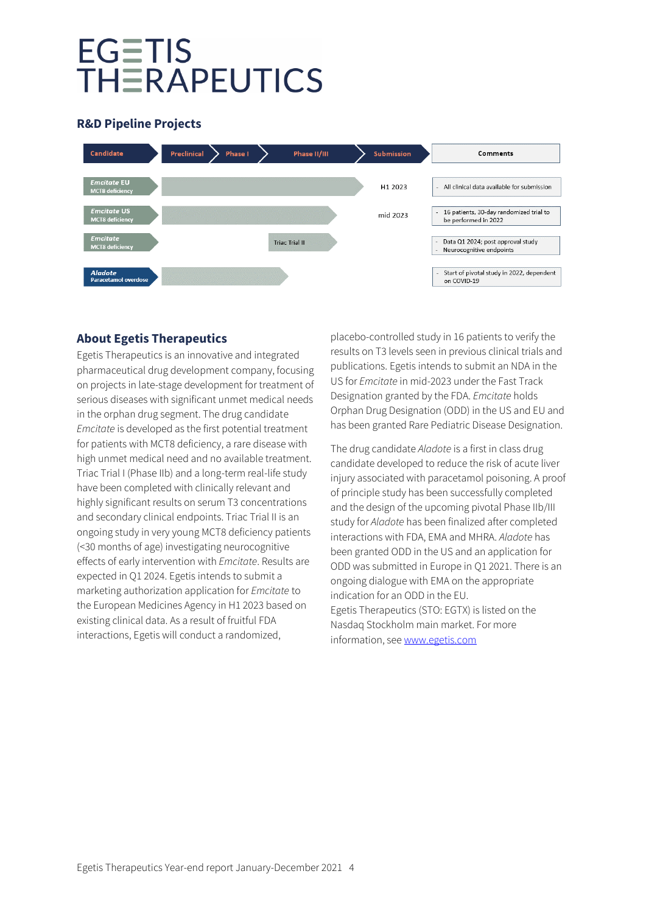# **R&D Pipeline Projects**



# **About Egetis Therapeutics**

Egetis Therapeutics is an innovative and integrated pharmaceutical drug development company, focusing on projects in late-stage development for treatment of serious diseases with significant unmet medical needs in the orphan drug segment. The drug candidate *Emcitate* is developed as the first potential treatment for patients with MCT8 deficiency, a rare disease with high unmet medical need and no available treatment. Triac Trial I (Phase IIb) and a long-term real-life study have been completed with clinically relevant and highly significant results on serum T3 concentrations and secondary clinical endpoints. Triac Trial II is an ongoing study in very young MCT8 deficiency patients (<30 months of age) investigating neurocognitive effects of early intervention with *Emcitate*. Results are expected in Q1 2024. Egetis intends to submit a marketing authorization application for *Emcitate* to the European Medicines Agency in H1 2023 based on existing clinical data. As a result of fruitful FDA interactions, Egetis will conduct a randomized,

placebo-controlled study in 16 patients to verify the results on T3 levels seen in previous clinical trials and publications. Egetis intends to submit an NDA in the US for *Emcitate* in mid-2023 under the Fast Track Designation granted by the FDA. *Emcitate* holds Orphan Drug Designation (ODD) in the US and EU and has been granted Rare Pediatric Disease Designation.

The drug candidate *Aladote* is a first in class drug candidate developed to reduce the risk of acute liver injury associated with paracetamol poisoning. A proof of principle study has been successfully completed and the design of the upcoming pivotal Phase IIb/III study for *Aladote* has been finalized after completed interactions with FDA, EMA and MHRA. *Aladote* has been granted ODD in the US and an application for ODD was submitted in Europe in Q1 2021. There is an ongoing dialogue with EMA on the appropriate indication for an ODD in the EU. Egetis Therapeutics (STO: EGTX) is listed on the Nasdaq Stockholm main market. For more information, see [www.egetis.com](http://www.pledpharma.se/)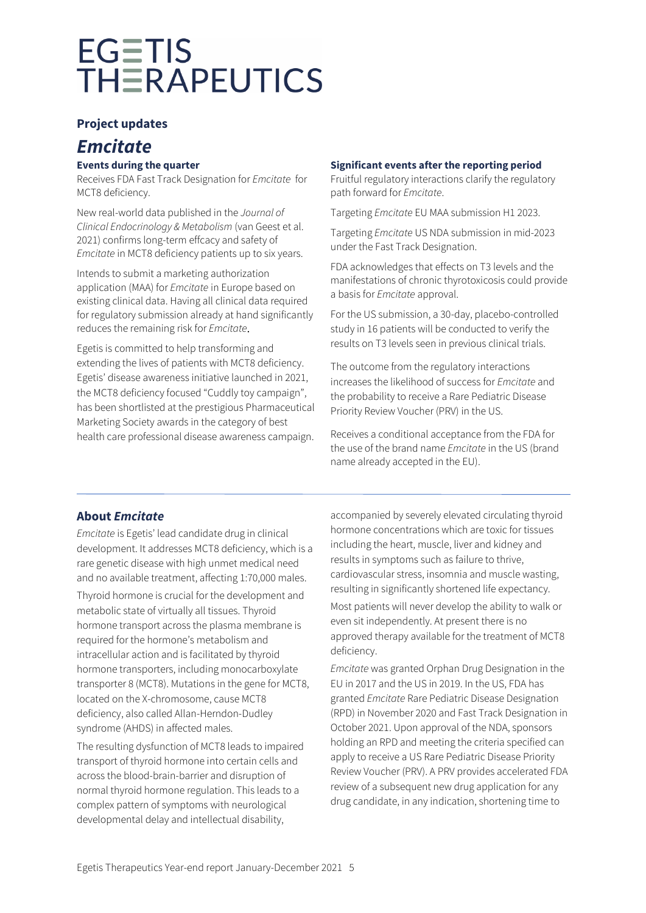# **Project updates**

# *Emcitate*

# **Events during the quarter**

Receives FDA Fast Track Designation for *Emcitate* for MCT8 deficiency.

New real-world data published in the *Journal of Clinical Endocrinology & Metabolism* (van Geest et al. 2021) confirms long-term effcacy and safety of *Emcitate* in MCT8 deficiency patients up to six years.

Intends to submit a marketing authorization application (MAA) for *Emcitate* in Europe based on existing clinical data. Having all clinical data required for regulatory submission already at hand significantly reduces the remaining risk for *Emcitate*.

Egetis is committed to help transforming and extending the lives of patients with MCT8 deficiency. Egetis' disease awareness initiative launched in 2021, the MCT8 deficiency focused "Cuddly toy campaign", has been shortlisted at the prestigious Pharmaceutical Marketing Society awards in the category of best health care professional disease awareness campaign.

# **Significant events after the reporting period**

Fruitful regulatory interactions clarify the regulatory path forward for *Emcitate*.

Targeting *Emcitate* EU MAA submission H1 2023.

Targeting *Emcitate* US NDA submission in mid-2023 under the Fast Track Designation.

FDA acknowledges that effects on T3 levels and the manifestations of chronic thyrotoxicosis could provide a basis for *Emcitate* approval.

For the US submission, a 30-day, placebo-controlled study in 16 patients will be conducted to verify the results on T3 levels seen in previous clinical trials.

The outcome from the regulatory interactions increases the likelihood of success for *Emcitate* and the probability to receive a Rare Pediatric Disease Priority Review Voucher (PRV) in the US.

Receives a conditional acceptance from the FDA for the use of the brand name *Emcitate* in the US (brand name already accepted in the EU).

# **About** *Emcitate*

*Emcitate* is Egetis' lead candidate drug in clinical development. It addresses MCT8 deficiency, which is a rare genetic disease with high unmet medical need and no available treatment, affecting 1:70,000 males.

Thyroid hormone is crucial for the development and metabolic state of virtually all tissues. Thyroid hormone transport across the plasma membrane is required for the hormone's metabolism and intracellular action and is facilitated by thyroid hormone transporters, including monocarboxylate transporter 8 (MCT8). Mutations in the gene for MCT8, located on the X-chromosome, cause MCT8 deficiency, also called Allan-Herndon-Dudley syndrome (AHDS) in affected males.

The resulting dysfunction of MCT8 leads to impaired transport of thyroid hormone into certain cells and across the blood-brain-barrier and disruption of normal thyroid hormone regulation. This leads to a complex pattern of symptoms with neurological developmental delay and intellectual disability,

accompanied by severely elevated circulating thyroid hormone concentrations which are toxic for tissues including the heart, muscle, liver and kidney and results in symptoms such as failure to thrive, cardiovascular stress, insomnia and muscle wasting, resulting in significantly shortened life expectancy.

Most patients will never develop the ability to walk or even sit independently. At present there is no approved therapy available for the treatment of MCT8 deficiency.

*Emcitate* was granted Orphan Drug Designation in the EU in 2017 and the US in 2019. In the US, FDA has granted *Emcitate* Rare Pediatric Disease Designation (RPD) in November 2020 and Fast Track Designation in October 2021. Upon approval of the NDA, sponsors holding an RPD and meeting the criteria specified can apply to receive a US Rare Pediatric Disease Priority Review Voucher (PRV). A PRV provides accelerated FDA review of a subsequent new drug application for any drug candidate, in any indication, shortening time to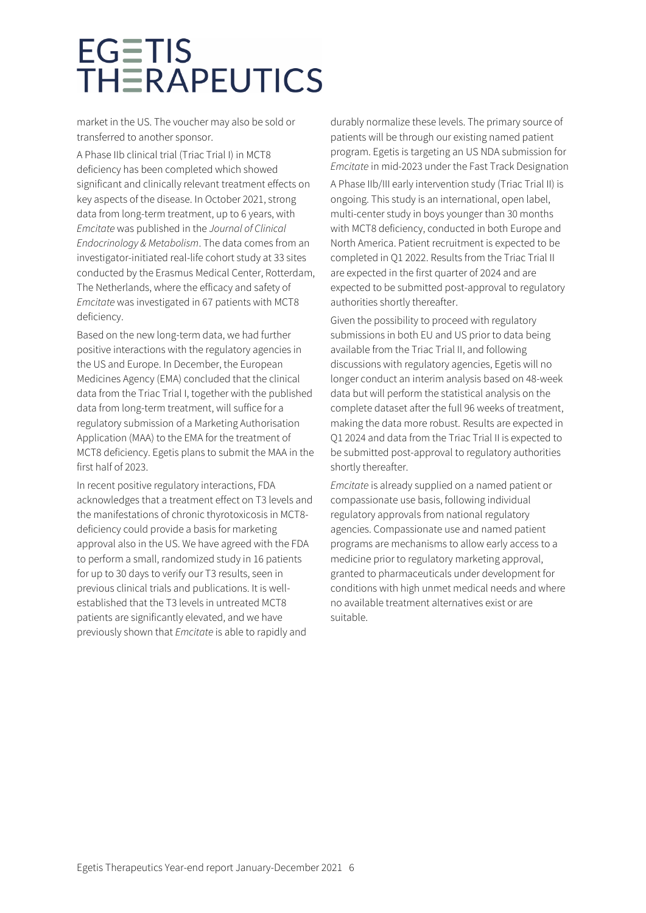market in the US. The voucher may also be sold or transferred to another sponsor.

A Phase IIb clinical trial (Triac Trial I) in MCT8 deficiency has been completed which showed significant and clinically relevant treatment effects on key aspects of the disease. In October 2021, strong data from long-term treatment, up to 6 years, with *Emcitate* was published in the *Journal of Clinical Endocrinology & Metabolism*. The data comes from an investigator-initiated real-life cohort study at 33 sites conducted by the Erasmus Medical Center, Rotterdam, The Netherlands, where the efficacy and safety of *Emcitate* was investigated in 67 patients with MCT8 deficiency.

Based on the new long-term data, we had further positive interactions with the regulatory agencies in the US and Europe. In December, the European Medicines Agency (EMA) concluded that the clinical data from the Triac Trial I, together with the published data from long-term treatment, will suffice for a regulatory submission of a Marketing Authorisation Application (MAA) to the EMA for the treatment of MCT8 deficiency. Egetis plans to submit the MAA in the first half of 2023.

In recent positive regulatory interactions, FDA acknowledges that a treatment effect on T3 levels and the manifestations of chronic thyrotoxicosis in MCT8 deficiency could provide a basis for marketing approval also in the US. We have agreed with the FDA to perform a small, randomized study in 16 patients for up to 30 days to verify our T3 results, seen in previous clinical trials and publications. It is wellestablished that the T3 levels in untreated MCT8 patients are significantly elevated, and we have previously shown that *Emcitate* is able to rapidly and

durably normalize these levels. The primary source of patients will be through our existing named patient program. Egetis is targeting an US NDA submission for *Emcitate* in mid-2023 under the Fast Track Designation

A Phase IIb/III early intervention study (Triac Trial II) is ongoing. This study is an international, open label, multi-center study in boys younger than 30 months with MCT8 deficiency, conducted in both Europe and North America. Patient recruitment is expected to be completed in Q1 2022. Results from the Triac Trial II are expected in the first quarter of 2024 and are expected to be submitted post-approval to regulatory authorities shortly thereafter.

Given the possibility to proceed with regulatory submissions in both EU and US prior to data being available from the Triac Trial II, and following discussions with regulatory agencies, Egetis will no longer conduct an interim analysis based on 48-week data but will perform the statistical analysis on the complete dataset after the full 96 weeks of treatment, making the data more robust. Results are expected in Q1 2024 and data from the Triac Trial II is expected to be submitted post-approval to regulatory authorities shortly thereafter.

*Emcitate* is already supplied on a named patient or compassionate use basis, following individual regulatory approvals from national regulatory agencies. Compassionate use and named patient programs are mechanisms to allow early access to a medicine prior to regulatory marketing approval, granted to pharmaceuticals under development for conditions with high unmet medical needs and where no available treatment alternatives exist or are suitable.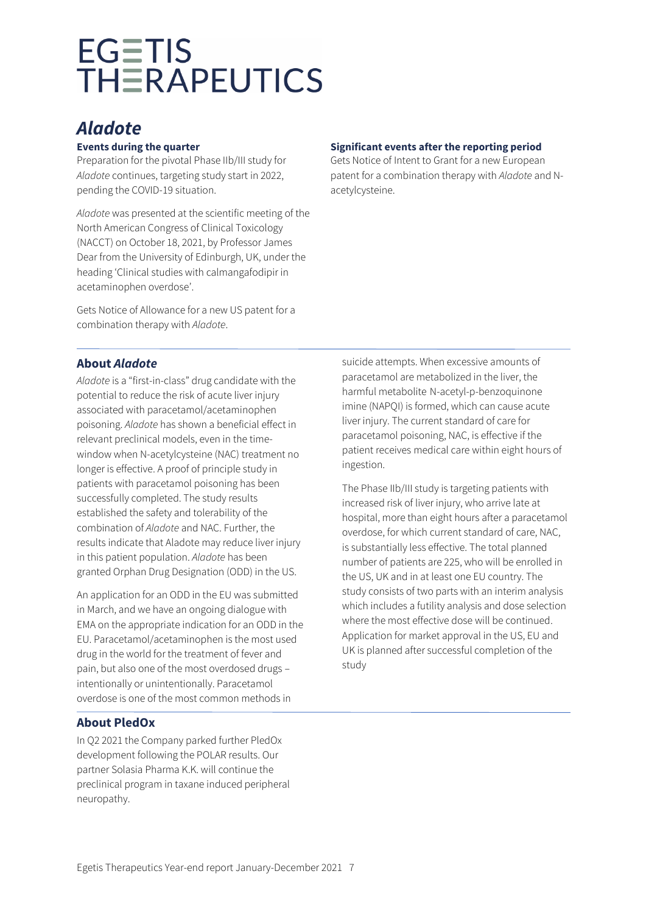# *Aladote*

# **Events during the quarter**

Preparation for the pivotal Phase IIb/III study for *Aladote* continues, targeting study start in 2022, pending the COVID-19 situation.

*Aladote* was presented at the scientific meeting of the North American Congress of Clinical Toxicology (NACCT) on October 18, 2021, by Professor James Dear from the University of Edinburgh, UK, under the heading 'Clinical studies with calmangafodipir in acetaminophen overdose'.

Gets Notice of Allowance for a new US patent for a combination therapy with *Aladote*.

# **Significant events after the reporting period**

Gets Notice of Intent to Grant for a new European patent for a combination therapy with *Aladote* and Nacetylcysteine.

# **About** *Aladote*

*Aladote* is a "first-in-class" drug candidate with the potential to reduce the risk of acute liver injury associated with paracetamol/acetaminophen poisoning. *Aladote* has shown a beneficial effect in relevant preclinical models, even in the timewindow when N-acetylcysteine (NAC) treatment no longer is effective. A proof of principle study in patients with paracetamol poisoning has been successfully completed. The study results established the safety and tolerability of the combination of *Aladote* and NAC. Further, the results indicate that Aladote may reduce liver injury in this patient population. *Aladote* has been granted Orphan Drug Designation (ODD) in the US.

An application for an ODD in the EU was submitted in March, and we have an ongoing dialogue with EMA on the appropriate indication for an ODD in the EU. Paracetamol/acetaminophen is the most used drug in the world for the treatment of fever and pain, but also one of the most overdosed drugs – intentionally or unintentionally. Paracetamol overdose is one of the most common methods in

# **About PledOx**

In Q2 2021 the Company parked further PledOx development following the POLAR results. Our partner Solasia Pharma K.K. will continue the preclinical program in taxane induced peripheral neuropathy.

suicide attempts. When excessive amounts of paracetamol are metabolized in the liver, the harmful metabolite N-acetyl-p-benzoquinone imine (NAPQI) is formed, which can cause acute liver injury. The current standard of care for paracetamol poisoning, NAC, is effective if the patient receives medical care within eight hours of ingestion.

The Phase IIb/III study is targeting patients with increased risk of liver injury, who arrive late at hospital, more than eight hours after a paracetamol overdose, for which current standard of care, NAC, is substantially less effective. The total planned number of patients are 225, who will be enrolled in the US, UK and in at least one EU country. The study consists of two parts with an interim analysis which includes a futility analysis and dose selection where the most effective dose will be continued. Application for market approval in the US, EU and UK is planned after successful completion of the study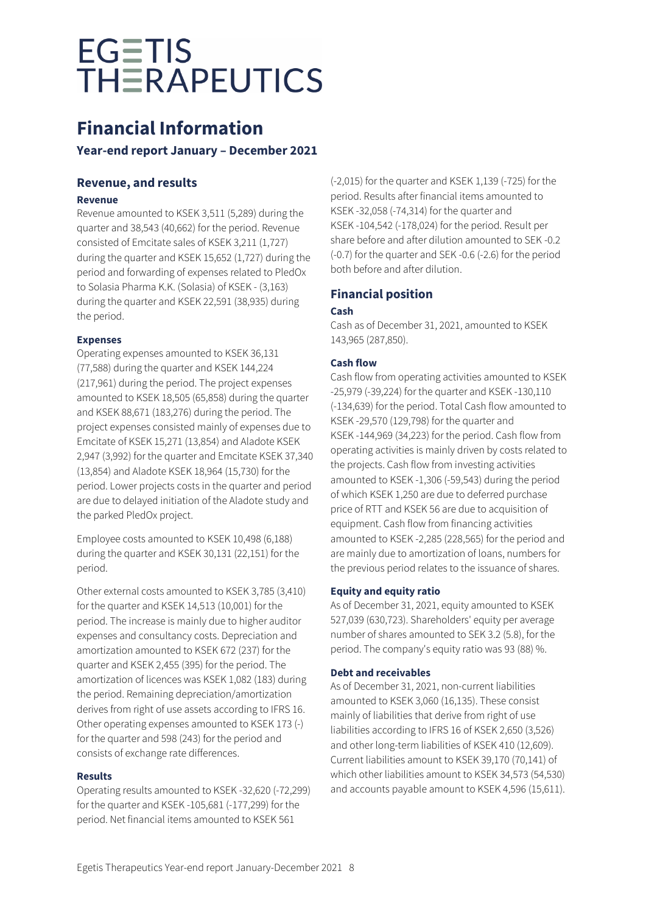# **Financial Information**

# **Year-end report January – December 2021**

# **Revenue, and results**

# **Revenue**

Revenue amounted to KSEK 3,511 (5,289) during the quarter and 38,543 (40,662) for the period. Revenue consisted of Emcitate sales of KSEK 3,211 (1,727) during the quarter and KSEK 15,652 (1,727) during the period and forwarding of expenses related to PledOx to Solasia Pharma K.K. (Solasia) of KSEK - (3,163) during the quarter and KSEK 22,591 (38,935) during the period.

# **Expenses**

Operating expenses amounted to KSEK 36,131 (77,588) during the quarter and KSEK 144,224 (217,961) during the period. The project expenses amounted to KSEK 18,505 (65,858) during the quarter and KSEK 88,671 (183,276) during the period. The project expenses consisted mainly of expenses due to Emcitate of KSEK 15,271 (13,854) and Aladote KSEK 2,947 (3,992) for the quarter and Emcitate KSEK 37,340 (13,854) and Aladote KSEK 18,964 (15,730) for the period. Lower projects costs in the quarter and period are due to delayed initiation of the Aladote study and the parked PledOx project.

Employee costs amounted to KSEK 10,498 (6,188) during the quarter and KSEK 30,131 (22,151) for the period.

Other external costs amounted to KSEK 3,785 (3,410) for the quarter and KSEK 14,513 (10,001) for the period. The increase is mainly due to higher auditor expenses and consultancy costs. Depreciation and amortization amounted to KSEK 672 (237) for the quarter and KSEK 2,455 (395) for the period. The amortization of licences was KSEK 1,082 (183) during the period. Remaining depreciation/amortization derives from right of use assets according to IFRS 16. Other operating expenses amounted to KSEK 173 (-) for the quarter and 598 (243) for the period and consists of exchange rate differences.

# **Results**

Operating results amounted to KSEK -32,620 (-72,299) for the quarter and KSEK -105,681 (-177,299) for the period. Net financial items amounted to KSEK 561

(-2,015) for the quarter and KSEK 1,139 (-725) for the period. Results after financial items amounted to KSEK -32,058 (-74,314) for the quarter and KSEK -104,542 (-178,024) for the period. Result per share before and after dilution amounted to SEK -0.2 (-0.7) for the quarter and SEK -0.6 (-2.6) for the period both before and after dilution.

# **Financial position**

# **Cash**

Cash as of December 31, 2021, amounted to KSEK 143,965 (287,850).

# **Cash flow**

Cash flow from operating activities amounted to KSEK -25,979 (-39,224) for the quarter and KSEK -130,110 (-134,639) for the period. Total Cash flow amounted to KSEK -29,570 (129,798) for the quarter and KSEK -144,969 (34,223) for the period. Cash flow from operating activities is mainly driven by costs related to the projects. Cash flow from investing activities amounted to KSEK -1,306 (-59,543) during the period of which KSEK 1,250 are due to deferred purchase price of RTT and KSEK 56 are due to acquisition of equipment. Cash flow from financing activities amounted to KSEK -2,285 (228,565) for the period and are mainly due to amortization of loans, numbers for the previous period relates to the issuance of shares.

# **Equity and equity ratio**

As of December 31, 2021, equity amounted to KSEK 527,039 (630,723). Shareholders' equity per average number of shares amounted to SEK 3.2 (5.8), for the period. The company's equity ratio was 93 (88) %.

# **Debt and receivables**

As of December 31, 2021, non-current liabilities amounted to KSEK 3,060 (16,135). These consist mainly of liabilities that derive from right of use liabilities according to IFRS 16 of KSEK 2,650 (3,526) and other long-term liabilities of KSEK 410 (12,609). Current liabilities amount to KSEK 39,170 (70,141) of which other liabilities amount to KSEK 34,573 (54,530) and accounts payable amount to KSEK 4,596 (15,611).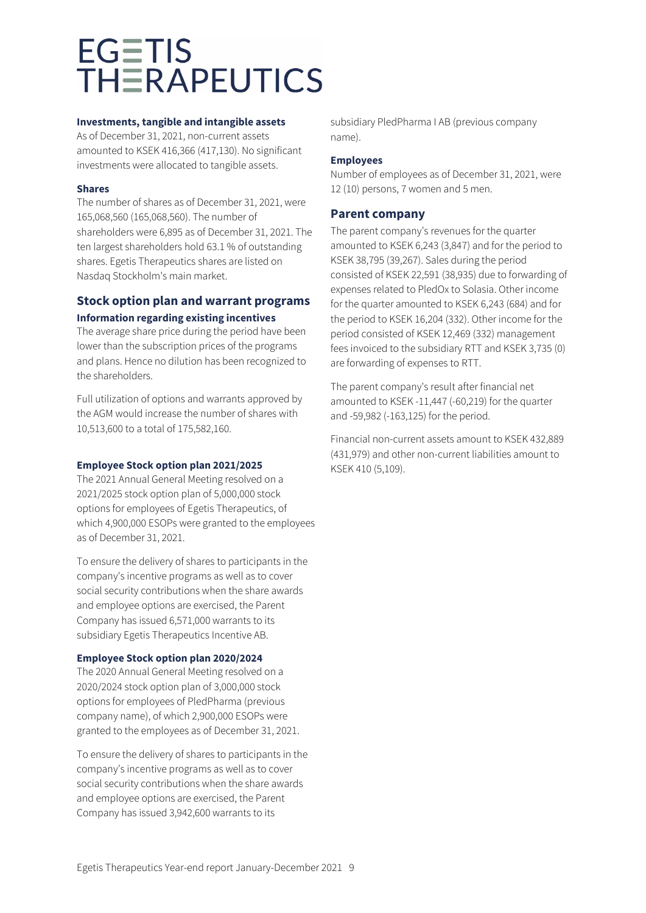### **Investments, tangible and intangible assets**

As of December 31, 2021, non-current assets amounted to KSEK 416,366 (417,130). No significant investments were allocated to tangible assets.

# **Shares**

The number of shares as of December 31, 2021, were 165,068,560 (165,068,560). The number of shareholders were 6,895 as of December 31, 2021. The ten largest shareholders hold 63.1 % of outstanding shares. Egetis Therapeutics shares are listed on Nasdaq Stockholm's main market.

# **Stock option plan and warrant programs Information regarding existing incentives**

The average share price during the period have been lower than the subscription prices of the programs and plans. Hence no dilution has been recognized to the shareholders.

Full utilization of options and warrants approved by the AGM would increase the number of shares with 10,513,600 to a total of 175,582,160.

# **Employee Stock option plan 2021/2025**

The 2021 Annual General Meeting resolved on a 2021/2025 stock option plan of 5,000,000 stock options for employees of Egetis Therapeutics, of which 4,900,000 ESOPs were granted to the employees as of December 31, 2021.

To ensure the delivery of shares to participants in the company's incentive programs as well as to cover social security contributions when the share awards and employee options are exercised, the Parent Company has issued 6,571,000 warrants to its subsidiary Egetis Therapeutics Incentive AB.

# **Employee Stock option plan 2020/2024**

The 2020 Annual General Meeting resolved on a 2020/2024 stock option plan of 3,000,000 stock options for employees of PledPharma (previous company name), of which 2,900,000 ESOPs were granted to the employees as of December 31, 2021.

To ensure the delivery of shares to participants in the company's incentive programs as well as to cover social security contributions when the share awards and employee options are exercised, the Parent Company has issued 3,942,600 warrants to its

subsidiary PledPharma I AB (previous company name).

# **Employees**

Number of employees as of December 31, 2021, were 12 (10) persons, 7 women and 5 men.

# **Parent company**

The parent company's revenues for the quarter amounted to KSEK 6,243 (3,847) and for the period to KSEK 38,795 (39,267). Sales during the period consisted of KSEK 22,591 (38,935) due to forwarding of expenses related to PledOx to Solasia. Other income for the quarter amounted to KSEK 6,243 (684) and for the period to KSEK 16,204 (332). Other income for the period consisted of KSEK 12,469 (332) management fees invoiced to the subsidiary RTT and KSEK 3,735 (0) are forwarding of expenses to RTT.

The parent company's result after financial net amounted to KSEK -11,447 (-60,219) for the quarter and -59,982 (-163,125) for the period.

Financial non-current assets amount to KSEK 432,889 (431,979) and other non-current liabilities amount to KSEK 410 (5,109).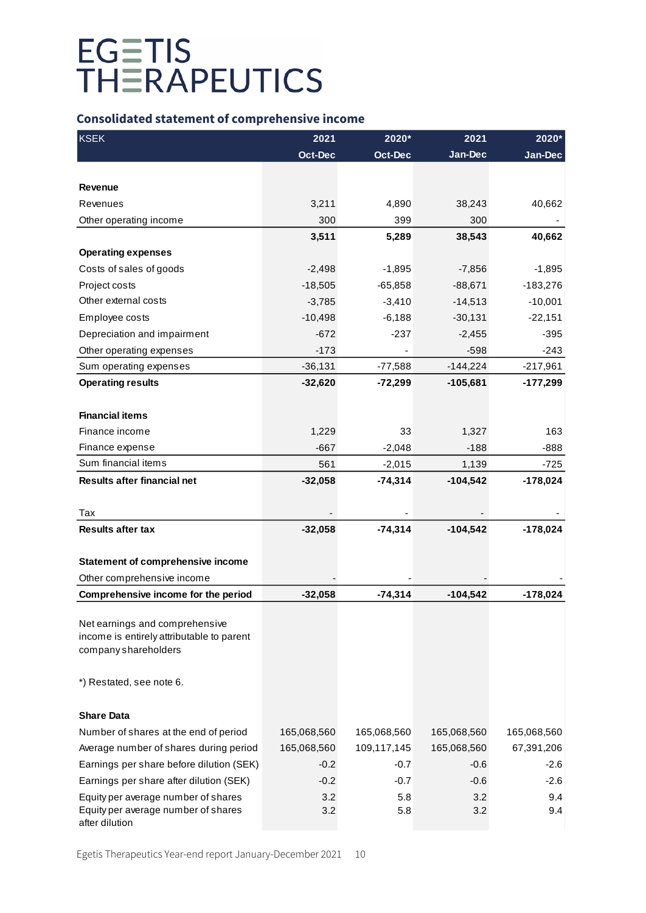# **Consolidated statement of comprehensive income**

| <b>KSEK</b>                                                       | 2021           | 2020*          | 2021        | 2020*       |
|-------------------------------------------------------------------|----------------|----------------|-------------|-------------|
|                                                                   | <b>Oct-Dec</b> | <b>Oct-Dec</b> | Jan-Dec     | Jan-Dec     |
|                                                                   |                |                |             |             |
| <b>Revenue</b>                                                    |                |                |             |             |
| Revenues                                                          | 3,211          | 4,890          | 38,243      | 40,662      |
| Other operating income                                            | 300            | 399            | 300         |             |
|                                                                   | 3,511          | 5,289          | 38,543      | 40,662      |
| <b>Operating expenses</b>                                         |                |                |             |             |
| Costs of sales of goods                                           | $-2,498$       | $-1,895$       | $-7,856$    | $-1,895$    |
| Project costs                                                     | $-18,505$      | $-65,858$      | $-88,671$   | $-183,276$  |
| Other external costs                                              | $-3,785$       | $-3,410$       | $-14,513$   | $-10,001$   |
| Employee costs                                                    | $-10,498$      | $-6,188$       | $-30,131$   | $-22,151$   |
| Depreciation and impairment                                       | $-672$         | $-237$         | $-2,455$    | $-395$      |
| Other operating expenses                                          | $-173$         |                | $-598$      | $-243$      |
| Sum operating expenses                                            | $-36,131$      | $-77,588$      | $-144,224$  | $-217,961$  |
| <b>Operating results</b>                                          | $-32,620$      | $-72,299$      | $-105,681$  | $-177,299$  |
|                                                                   |                |                |             |             |
| <b>Financial items</b>                                            |                |                |             |             |
| Finance income                                                    | 1,229          | 33             | 1,327       | 163         |
| Finance expense                                                   | $-667$         | $-2,048$       | $-188$      | $-888$      |
| Sum financial items                                               | 561            | $-2,015$       | 1,139       | $-725$      |
| <b>Results after financial net</b>                                | $-32,058$      | $-74,314$      | $-104,542$  | $-178,024$  |
|                                                                   |                |                |             |             |
| Tax                                                               |                |                |             |             |
| <b>Results after tax</b>                                          | $-32,058$      | $-74,314$      | $-104,542$  | $-178,024$  |
|                                                                   |                |                |             |             |
| <b>Statement of comprehensive income</b>                          |                |                |             |             |
| Other comprehensive income                                        |                |                |             |             |
| Comprehensive income for the period                               | $-32,058$      | $-74,314$      | $-104,542$  | $-178,024$  |
|                                                                   |                |                |             |             |
| Net earnings and comprehensive                                    |                |                |             |             |
| income is entirely attributable to parent<br>company shareholders |                |                |             |             |
|                                                                   |                |                |             |             |
| *) Restated, see note 6.                                          |                |                |             |             |
|                                                                   |                |                |             |             |
| <b>Share Data</b>                                                 |                |                |             |             |
| Number of shares at the end of period                             | 165,068,560    | 165,068,560    | 165,068,560 | 165,068,560 |
| Average number of shares during period                            | 165,068,560    | 109,117,145    | 165,068,560 | 67,391,206  |
| Earnings per share before dilution (SEK)                          | $-0.2$         | $-0.7$         | $-0.6$      | $-2.6$      |
| Earnings per share after dilution (SEK)                           | $-0.2$         | $-0.7$         | $-0.6$      | $-2.6$      |
| Equity per average number of shares                               | 3.2            | 5.8            | 3.2         | 9.4         |
| Equity per average number of shares                               | 3.2            | 5.8            | 3.2         | 9.4         |
| after dilution                                                    |                |                |             |             |

Egetis Therapeutics Year-end report January-December 2021 10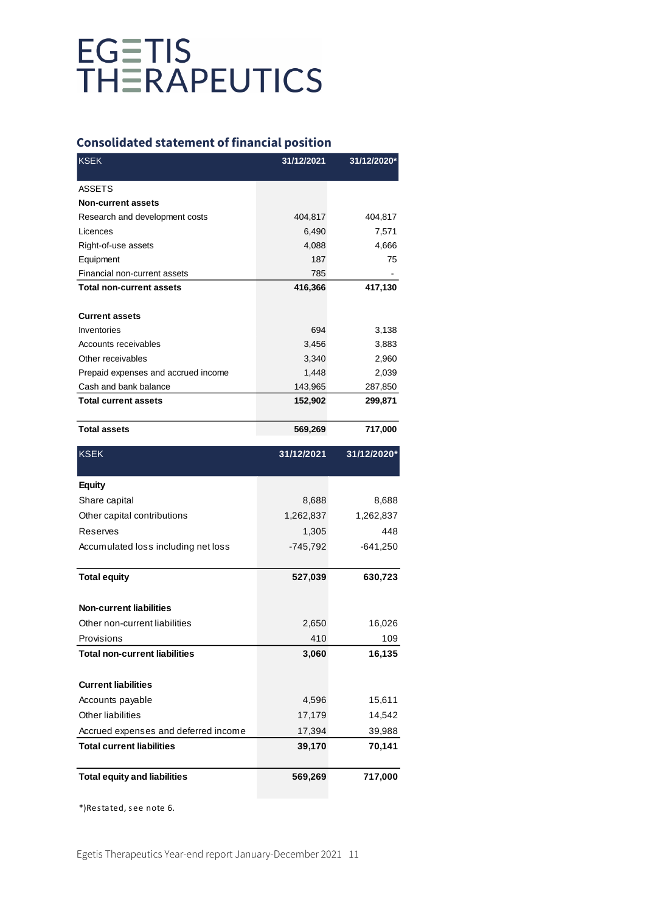# **Consolidated statement of financial position**

| <b>KSEK</b>                         | 31/12/2021 | 31/12/2020* |
|-------------------------------------|------------|-------------|
| <b>ASSETS</b>                       |            |             |
| <b>Non-current assets</b>           |            |             |
| Research and development costs      | 404,817    | 404,817     |
| Licences                            | 6,490      | 7,571       |
| Right-of-use assets                 | 4,088      | 4,666       |
| Equipment                           | 187        | 75          |
| Financial non-current assets        | 785        |             |
| <b>Total non-current assets</b>     | 416,366    | 417,130     |
|                                     |            |             |
| <b>Current assets</b>               |            |             |
| Inventories                         | 694        | 3,138       |
| Accounts receivables                | 3,456      | 3,883       |
| Other receivables                   | 3,340      | 2,960       |
| Prepaid expenses and accrued income | 1,448      | 2,039       |
| Cash and bank balance               | 143,965    | 287,850     |
| <b>Total current assets</b>         | 152,902    | 299,871     |
| <b>Total assets</b>                 | 569,269    | 717,000     |

| <b>KSEK</b>                          | 31/12/2021 | 31/12/2020* |
|--------------------------------------|------------|-------------|
| <b>Equity</b>                        |            |             |
| Share capital                        | 8,688      | 8,688       |
| Other capital contributions          | 1,262,837  | 1,262,837   |
| <b>Reserves</b>                      | 1,305      | 448         |
| Accumulated loss including net loss  | $-745,792$ | $-641,250$  |
| <b>Total equity</b>                  | 527,039    | 630,723     |
| <b>Non-current liabilities</b>       |            |             |
| Other non-current liabilities        | 2,650      | 16,026      |
| Provisions                           | 410        | 109         |
| <b>Total non-current liabilities</b> | 3,060      | 16,135      |
| <b>Current liabilities</b>           |            |             |
| Accounts payable                     | 4,596      | 15,611      |
| Other liabilities                    | 17,179     | 14,542      |
| Accrued expenses and deferred income | 17,394     | 39,988      |
| <b>Total current liabilities</b>     | 39,170     | 70,141      |
| <b>Total equity and liabilities</b>  | 569,269    | 717,000     |

\*)Restated, see note 6.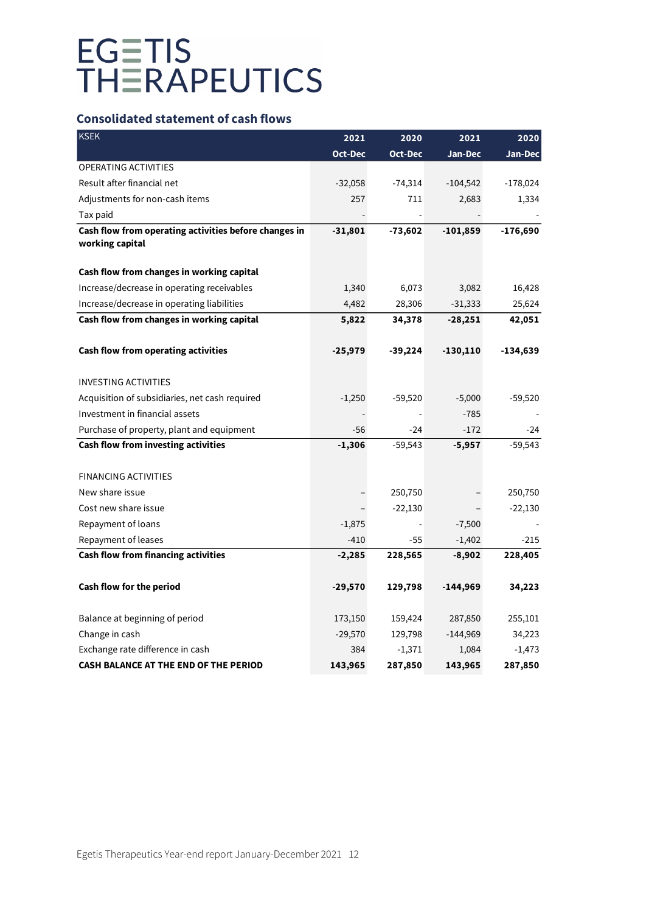# **Consolidated statement of cash flows**

| KSEK                                                  | 2021      | 2020           | 2021       | 2020       |
|-------------------------------------------------------|-----------|----------------|------------|------------|
|                                                       | Oct-Dec   | <b>Oct-Dec</b> | Jan-Dec    | Jan-Dec    |
| <b>OPERATING ACTIVITIES</b>                           |           |                |            |            |
| Result after financial net                            | $-32,058$ | $-74,314$      | $-104,542$ | $-178,024$ |
| Adjustments for non-cash items                        | 257       | 711            | 2,683      | 1,334      |
| Tax paid                                              |           |                |            |            |
| Cash flow from operating activities before changes in | $-31,801$ | $-73,602$      | $-101,859$ | $-176,690$ |
| working capital                                       |           |                |            |            |
| Cash flow from changes in working capital             |           |                |            |            |
| Increase/decrease in operating receivables            | 1,340     | 6,073          | 3,082      | 16,428     |
| Increase/decrease in operating liabilities            | 4,482     | 28,306         | $-31,333$  | 25,624     |
| Cash flow from changes in working capital             | 5,822     | 34,378         | $-28,251$  | 42,051     |
| Cash flow from operating activities                   | -25,979   | $-39,224$      | $-130,110$ | -134,639   |
| <b>INVESTING ACTIVITIES</b>                           |           |                |            |            |
| Acquisition of subsidiaries, net cash required        | $-1,250$  | $-59,520$      | $-5,000$   | $-59,520$  |
| Investment in financial assets                        |           |                | $-785$     |            |
| Purchase of property, plant and equipment             | -56       | $-24$          | $-172$     | -24        |
| Cash flow from investing activities                   | $-1,306$  | $-59,543$      | $-5,957$   | $-59,543$  |
| <b>FINANCING ACTIVITIES</b>                           |           |                |            |            |
| New share issue                                       |           | 250,750        |            | 250,750    |
| Cost new share issue                                  |           | $-22,130$      |            | $-22,130$  |
| Repayment of loans                                    | $-1,875$  |                | $-7,500$   |            |
| Repayment of leases                                   | $-410$    | $-55$          | $-1,402$   | $-215$     |
| Cash flow from financing activities                   | $-2,285$  | 228,565        | $-8,902$   | 228,405    |
| Cash flow for the period                              | $-29,570$ | 129,798        | $-144,969$ | 34,223     |
|                                                       |           |                |            |            |
| Balance at beginning of period                        | 173,150   | 159,424        | 287,850    | 255,101    |
| Change in cash                                        | $-29,570$ | 129,798        | $-144,969$ | 34,223     |
| Exchange rate difference in cash                      | 384       | $-1,371$       | 1,084      | $-1,473$   |
| CASH BALANCE AT THE END OF THE PERIOD                 | 143,965   | 287,850        | 143,965    | 287,850    |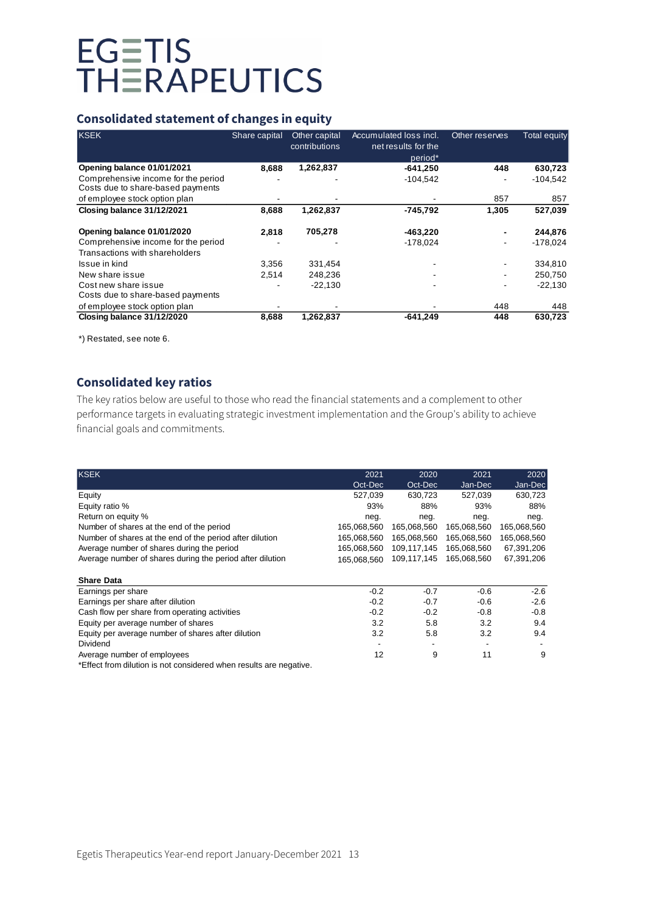# **Consolidated statement of changes in equity**

| <b>KSEK</b>                                                              | Share capital | Other capital<br>contributions | Accumulated loss incl.<br>net results for the | Other reserves | <b>Total equity</b> |
|--------------------------------------------------------------------------|---------------|--------------------------------|-----------------------------------------------|----------------|---------------------|
|                                                                          |               |                                | period <sup>*</sup>                           |                |                     |
| Opening balance 01/01/2021                                               | 8.688         | 1,262,837                      | $-641.250$                                    | 448            | 630,723             |
| Comprehensive income for the period<br>Costs due to share-based payments |               |                                | $-104.542$                                    |                | $-104.542$          |
| of employee stock option plan                                            |               |                                |                                               | 857            | 857                 |
| Closing balance 31/12/2021                                               | 8,688         | 1,262,837                      | -745,792                                      | 1,305          | 527,039             |
| Opening balance 01/01/2020                                               | 2.818         | 705,278                        | $-463,220$                                    |                | 244,876             |
| Comprehensive income for the period                                      |               |                                | $-178,024$                                    |                | $-178,024$          |
| Transactions with shareholders                                           |               |                                |                                               |                |                     |
| Issue in kind                                                            | 3.356         | 331,454                        |                                               |                | 334,810             |
| New share issue                                                          | 2,514         | 248,236                        |                                               |                | 250,750             |
| Cost new share issue                                                     |               | $-22,130$                      |                                               |                | $-22,130$           |
| Costs due to share-based payments                                        |               |                                |                                               |                |                     |
| of employee stock option plan                                            |               |                                |                                               | 448            | 448                 |
| Closing balance 31/12/2020                                               | 8,688         | 1,262,837                      | $-641.249$                                    | 448            | 630.723             |

\*) Restated, see note 6.

# **Consolidated key ratios**

The key ratios below are useful to those who read the financial statements and a complement to other performance targets in evaluating strategic investment implementation and the Group's ability to achieve financial goals and commitments.

| <b>KSEK</b>                                                       | 2021        | 2020        | 2021        | 2020        |
|-------------------------------------------------------------------|-------------|-------------|-------------|-------------|
|                                                                   | Oct-Dec     | Oct-Dec     | Jan-Dec     | Jan-Dec     |
| Equity                                                            | 527.039     | 630.723     | 527,039     | 630,723     |
| Equity ratio %                                                    | 93%         | 88%         | 93%         | 88%         |
| Return on equity %                                                | neg.        | neg.        | neg.        | neg.        |
| Number of shares at the end of the period                         | 165,068,560 | 165,068,560 | 165,068,560 | 165,068,560 |
| Number of shares at the end of the period after dilution          | 165,068,560 | 165,068,560 | 165,068,560 | 165,068,560 |
| Average number of shares during the period                        | 165,068,560 | 109,117,145 | 165,068,560 | 67,391,206  |
| Average number of shares during the period after dilution         | 165,068,560 | 109,117,145 | 165,068,560 | 67,391,206  |
|                                                                   |             |             |             |             |
| <b>Share Data</b>                                                 |             |             |             |             |
| Earnings per share                                                | $-0.2$      | $-0.7$      | $-0.6$      | $-2.6$      |
| Earnings per share after dilution                                 | $-0.2$      | $-0.7$      | $-0.6$      | $-2.6$      |
| Cash flow per share from operating activities                     | $-0.2$      | $-0.2$      | $-0.8$      | $-0.8$      |
| Equity per average number of shares                               | 3.2         | 5.8         | 3.2         | 9.4         |
| Equity per average number of shares after dilution                | 3.2         | 5.8         | 3.2         | 9.4         |
| Dividend                                                          |             |             |             |             |
| Average number of employees                                       | 12          | 9           | 11          | 9           |
| *Effect from dilution in not considered when results are negative |             |             |             |             |

\*Effect from dilution is not considered when results are negative.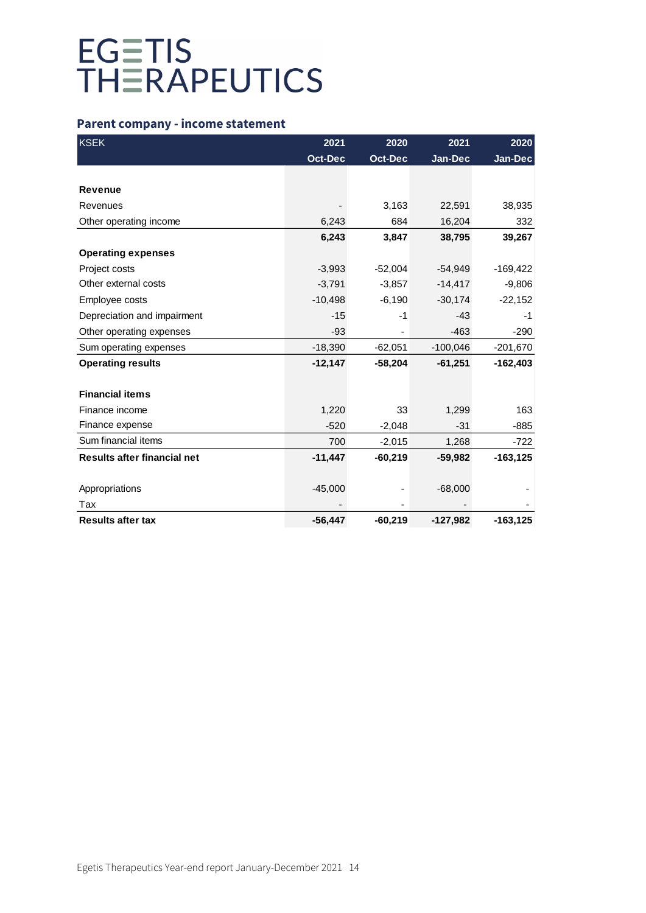# **Parent company - income statement**

| <b>KSEK</b>                 | 2021           | 2020           | 2021       | 2020        |
|-----------------------------|----------------|----------------|------------|-------------|
|                             | <b>Oct-Dec</b> | <b>Oct-Dec</b> | Jan-Dec    | $Jan-Dec$   |
|                             |                |                |            |             |
| <b>Revenue</b>              |                |                |            |             |
| Revenues                    |                | 3,163          | 22,591     | 38,935      |
| Other operating income      | 6,243          | 684            | 16,204     | 332         |
|                             | 6,243          | 3,847          | 38,795     | 39,267      |
| <b>Operating expenses</b>   |                |                |            |             |
| Project costs               | $-3,993$       | $-52,004$      | $-54,949$  | $-169,422$  |
| Other external costs        | $-3,791$       | $-3,857$       | $-14,417$  | $-9,806$    |
| Employee costs              | $-10,498$      | $-6,190$       | $-30,174$  | $-22,152$   |
| Depreciation and impairment | $-15$          | $-1$           | $-43$      | $-1$        |
| Other operating expenses    | $-93$          |                | $-463$     | $-290$      |
| Sum operating expenses      | $-18,390$      | $-62,051$      | $-100,046$ | $-201,670$  |
| <b>Operating results</b>    | $-12,147$      | $-58,204$      | $-61,251$  | -162,403    |
|                             |                |                |            |             |
| <b>Financial items</b>      |                |                |            |             |
| Finance income              | 1,220          | 33             | 1,299      | 163         |
| Finance expense             | $-520$         | $-2,048$       | $-31$      | $-885$      |
| Sum financial items         | 700            | $-2,015$       | 1,268      | $-722$      |
| Results after financial net | $-11,447$      | $-60,219$      | $-59,982$  | $-163, 125$ |
|                             |                |                |            |             |
| Appropriations              | $-45,000$      |                | $-68,000$  |             |
| Tax                         |                |                |            |             |
| <b>Results after tax</b>    | $-56,447$      | $-60,219$      | $-127,982$ | $-163, 125$ |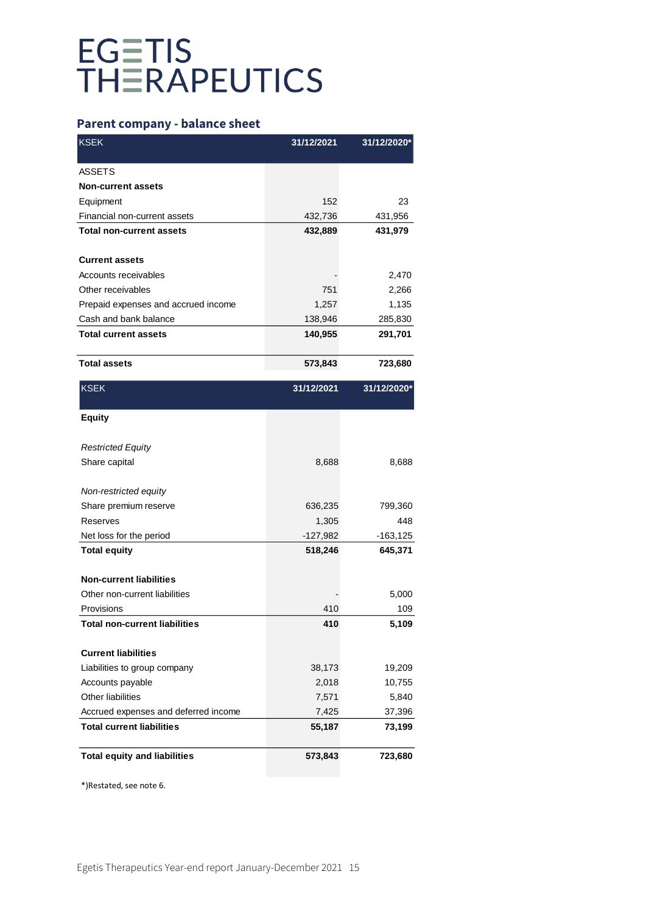# **Parent company - balance sheet**

| <b>KSEK</b>                          | 31/12/2021 | 31/12/2020* |
|--------------------------------------|------------|-------------|
| <b>ASSETS</b>                        |            |             |
| <b>Non-current assets</b>            |            |             |
| Equipment                            | 152        | 23          |
| Financial non-current assets         | 432,736    | 431,956     |
| <b>Total non-current assets</b>      | 432,889    | 431,979     |
|                                      |            |             |
| <b>Current assets</b>                |            |             |
| Accounts receivables                 |            | 2,470       |
| Other receivables                    | 751        | 2,266       |
| Prepaid expenses and accrued income  | 1,257      | 1,135       |
| Cash and bank balance                | 138,946    | 285,830     |
| <b>Total current assets</b>          | 140,955    | 291,701     |
| <b>Total assets</b>                  | 573,843    | 723,680     |
| <b>KSEK</b>                          | 31/12/2021 | 31/12/2020* |
| <b>Equity</b>                        |            |             |
| <b>Restricted Equity</b>             |            |             |
| Share capital                        | 8,688      | 8,688       |
| Non-restricted equity                |            |             |
| Share premium reserve                | 636,235    | 799,360     |
| Reserves                             | 1,305      | 448         |
| Net loss for the period              | $-127,982$ | -163,125    |
| <b>Total equity</b>                  | 518,246    | 645,371     |
| <b>Non-current liabilities</b>       |            |             |
| Other non-current liabilities        |            | 5,000       |
| Provisions                           | 410        | 109         |
| <b>Total non-current liabilities</b> | 410        | 5,109       |
| <b>Current liabilities</b>           |            |             |
| Liabilities to group company         | 38,173     | 19,209      |
| Accounts payable                     | 2,018      | 10,755      |
| Other liabilities                    | 7,571      | 5,840       |
| Accrued expenses and deferred income | 7,425      | 37,396      |
| <b>Total current liabilities</b>     | 55,187     | 73,199      |
| <b>Total equity and liabilities</b>  | 573,843    | 723,680     |
|                                      |            |             |

\*)Restated, see note 6.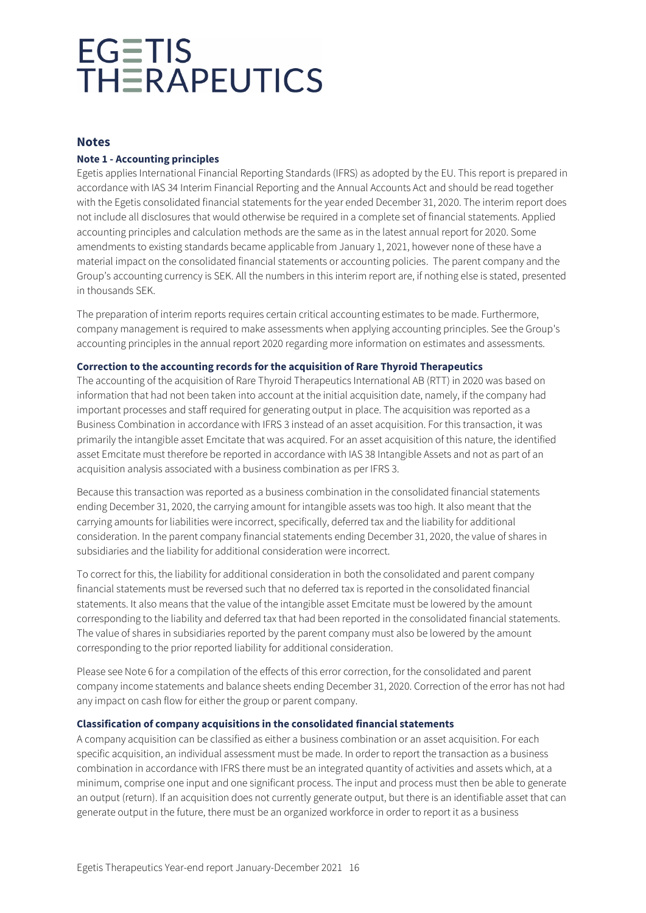# **Notes**

# **Note 1 - Accounting principles**

Egetis applies International Financial Reporting Standards (IFRS) as adopted by the EU. This report is prepared in accordance with IAS 34 Interim Financial Reporting and the Annual Accounts Act and should be read together with the Egetis consolidated financial statements for the year ended December 31, 2020. The interim report does not include all disclosures that would otherwise be required in a complete set of financial statements. Applied accounting principles and calculation methods are the same as in the latest annual report for 2020. Some amendments to existing standards became applicable from January 1, 2021, however none of these have a material impact on the consolidated financial statements or accounting policies. The parent company and the Group's accounting currency is SEK. All the numbers in this interim report are, if nothing else is stated, presented in thousands SEK.

The preparation of interim reports requires certain critical accounting estimates to be made. Furthermore, company management is required to make assessments when applying accounting principles. See the Group's accounting principles in the annual report 2020 regarding more information on estimates and assessments.

### **Correction to the accounting records for the acquisition of Rare Thyroid Therapeutics**

The accounting of the acquisition of Rare Thyroid Therapeutics International AB (RTT) in 2020 was based on information that had not been taken into account at the initial acquisition date, namely, if the company had important processes and staff required for generating output in place. The acquisition was reported as a Business Combination in accordance with IFRS 3 instead of an asset acquisition. For this transaction, it was primarily the intangible asset Emcitate that was acquired. For an asset acquisition of this nature, the identified asset Emcitate must therefore be reported in accordance with IAS 38 Intangible Assets and not as part of an acquisition analysis associated with a business combination as per IFRS 3.

Because this transaction was reported as a business combination in the consolidated financial statements ending December 31, 2020, the carrying amount for intangible assets was too high. It also meant that the carrying amounts for liabilities were incorrect, specifically, deferred tax and the liability for additional consideration. In the parent company financial statements ending December 31, 2020, the value of shares in subsidiaries and the liability for additional consideration were incorrect.

To correct for this, the liability for additional consideration in both the consolidated and parent company financial statements must be reversed such that no deferred tax is reported in the consolidated financial statements. It also means that the value of the intangible asset Emcitate must be lowered by the amount corresponding to the liability and deferred tax that had been reported in the consolidated financial statements. The value of shares in subsidiaries reported by the parent company must also be lowered by the amount corresponding to the prior reported liability for additional consideration.

Please see Note 6 for a compilation of the effects of this error correction, for the consolidated and parent company income statements and balance sheets ending December 31, 2020. Correction of the error has not had any impact on cash flow for either the group or parent company.

# **Classification of company acquisitions in the consolidated financial statements**

A company acquisition can be classified as either a business combination or an asset acquisition. For each specific acquisition, an individual assessment must be made. In order to report the transaction as a business combination in accordance with IFRS there must be an integrated quantity of activities and assets which, at a minimum, comprise one input and one significant process. The input and process must then be able to generate an output (return). If an acquisition does not currently generate output, but there is an identifiable asset that can generate output in the future, there must be an organized workforce in order to report it as a business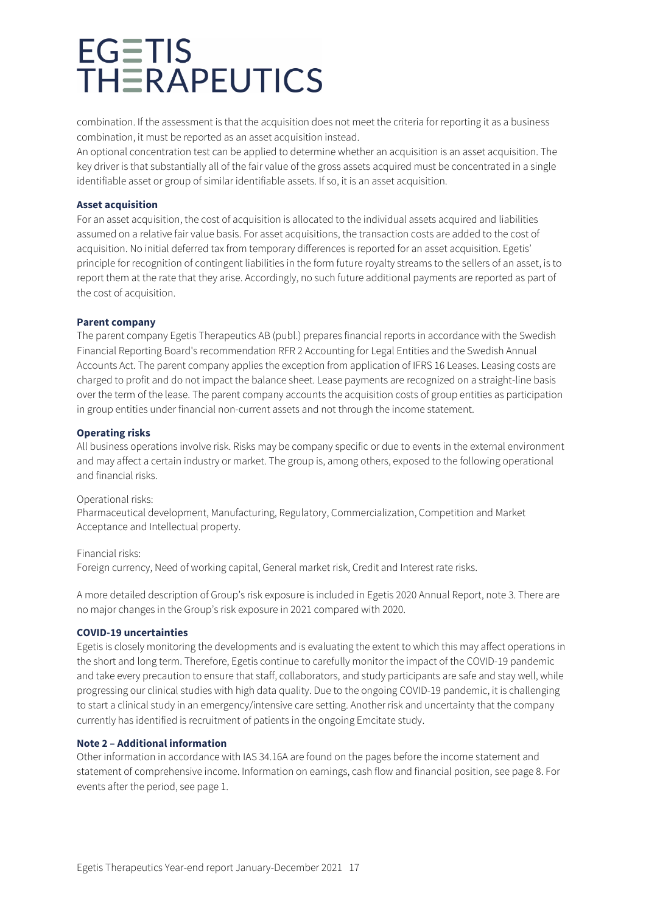combination. If the assessment is that the acquisition does not meet the criteria for reporting it as a business combination, it must be reported as an asset acquisition instead.

An optional concentration test can be applied to determine whether an acquisition is an asset acquisition. The key driver is that substantially all of the fair value of the gross assets acquired must be concentrated in a single identifiable asset or group of similar identifiable assets. If so, it is an asset acquisition.

### **Asset acquisition**

For an asset acquisition, the cost of acquisition is allocated to the individual assets acquired and liabilities assumed on a relative fair value basis. For asset acquisitions, the transaction costs are added to the cost of acquisition. No initial deferred tax from temporary differences is reported for an asset acquisition. Egetis' principle for recognition of contingent liabilities in the form future royalty streams to the sellers of an asset, is to report them at the rate that they arise. Accordingly, no such future additional payments are reported as part of the cost of acquisition.

### **Parent company**

The parent company Egetis Therapeutics AB (publ.) prepares financial reports in accordance with the Swedish Financial Reporting Board's recommendation RFR 2 Accounting for Legal Entities and the Swedish Annual Accounts Act. The parent company applies the exception from application of IFRS 16 Leases. Leasing costs are charged to profit and do not impact the balance sheet. Lease payments are recognized on a straight-line basis over the term of the lease. The parent company accounts the acquisition costs of group entities as participation in group entities under financial non-current assets and not through the income statement.

### **Operating risks**

All business operations involve risk. Risks may be company specific or due to events in the external environment and may affect a certain industry or market. The group is, among others, exposed to the following operational and financial risks.

### Operational risks:

Pharmaceutical development, Manufacturing, Regulatory, Commercialization, Competition and Market Acceptance and Intellectual property.

Financial risks: Foreign currency, Need of working capital, General market risk, Credit and Interest rate risks.

A more detailed description of Group's risk exposure is included in Egetis 2020 Annual Report, note 3. There are no major changes in the Group's risk exposure in 2021 compared with 2020.

### **COVID-19 uncertainties**

Egetis is closely monitoring the developments and is evaluating the extent to which this may affect operations in the short and long term. Therefore, Egetis continue to carefully monitor the impact of the COVID-19 pandemic and take every precaution to ensure that staff, collaborators, and study participants are safe and stay well, while progressing our clinical studies with high data quality. Due to the ongoing COVID-19 pandemic, it is challenging to start a clinical study in an emergency/intensive care setting. Another risk and uncertainty that the company currently has identified is recruitment of patients in the ongoing Emcitate study.

# **Note 2 – Additional information**

Other information in accordance with IAS 34.16A are found on the pages before the income statement and statement of comprehensive income. Information on earnings, cash flow and financial position, see page 8. For events after the period, see page 1.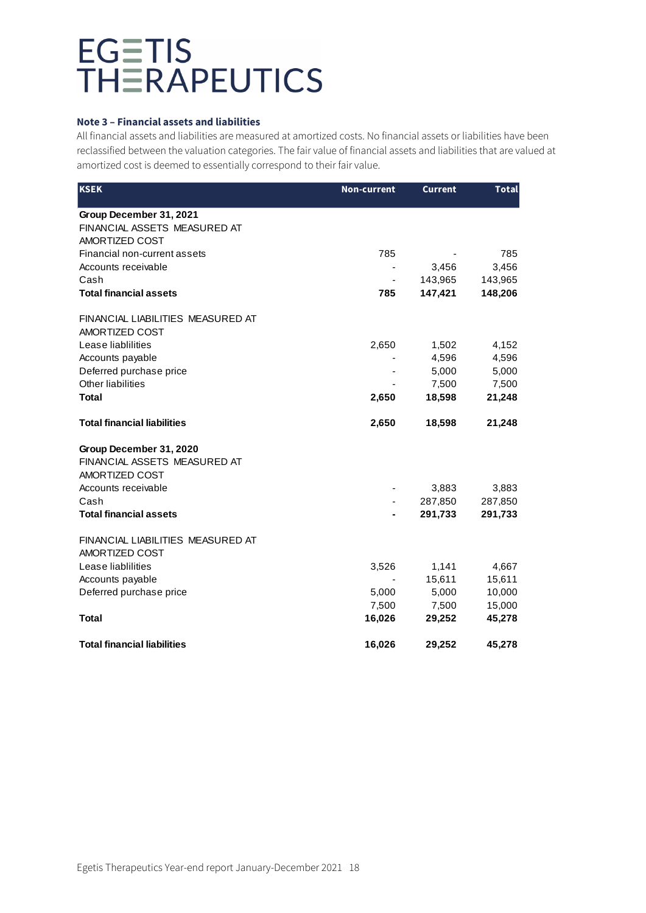### **Note 3 – Financial assets and liabilities**

All financial assets and liabilities are measured at amortized costs. No financial assets or liabilities have been reclassified between the valuation categories. The fair value of financial assets and liabilities that are valued at amortized cost is deemed to essentially correspond to their fair value.

| <b>KSEK</b>                                                               | <b>Non-current</b> | <b>Current</b> | <b>Total</b> |
|---------------------------------------------------------------------------|--------------------|----------------|--------------|
| Group December 31, 2021<br>FINANCIAL ASSETS MEASURED AT<br>AMORTIZED COST |                    |                |              |
| Financial non-current assets                                              | 785                |                | 785          |
| Accounts receivable                                                       |                    | 3,456          | 3,456        |
| Cash                                                                      |                    | 143,965        | 143,965      |
| <b>Total financial assets</b>                                             | 785                | 147,421        | 148,206      |
| FINANCIAL LIABILITIES MEASURED AT<br>AMORTIZED COST                       |                    |                |              |
| Lease liablilities                                                        | 2,650              | 1,502          | 4,152        |
| Accounts payable                                                          |                    | 4,596          | 4,596        |
| Deferred purchase price                                                   | ٠                  | 5,000          | 5,000        |
| Other liabilities                                                         |                    | 7,500          | 7,500        |
| <b>Total</b>                                                              | 2,650              | 18,598         | 21,248       |
| <b>Total financial liabilities</b>                                        | 2,650              | 18,598         | 21,248       |
| Group December 31, 2020<br>FINANCIAL ASSETS MEASURED AT<br>AMORTIZED COST |                    |                |              |
| Accounts receivable                                                       |                    | 3,883          | 3,883        |
| Cash                                                                      |                    | 287,850        | 287,850      |
| <b>Total financial assets</b>                                             |                    | 291,733        | 291,733      |
| FINANCIAL LIABILITIES MEASURED AT<br>AMORTIZED COST                       |                    |                |              |
| Lease liablilities                                                        | 3,526              | 1,141          | 4,667        |
| Accounts payable                                                          |                    | 15,611         | 15,611       |
| Deferred purchase price                                                   | 5,000              | 5,000          | 10,000       |
|                                                                           | 7,500              | 7,500          | 15,000       |
| Total                                                                     | 16,026             | 29,252         | 45,278       |
| <b>Total financial liabilities</b>                                        | 16,026             | 29,252         | 45,278       |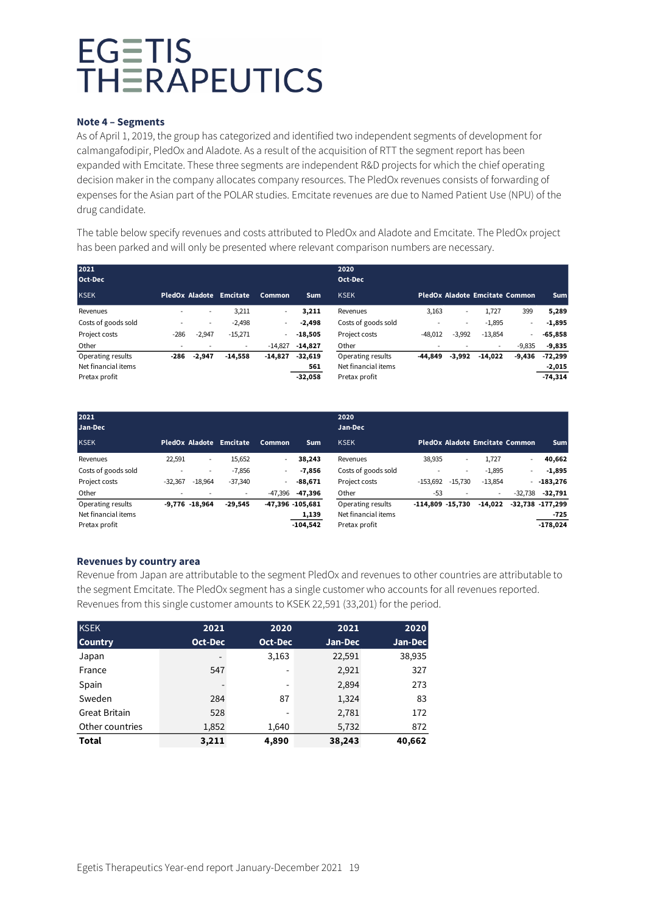### **Note 4 – Segments**

As of April 1, 2019, the group has categorized and identified two independent segments of development for calmangafodipir, PledOx and Aladote. As a result of the acquisition of RTT the segment report has been expanded with Emcitate. These three segments are independent R&D projects for which the chief operating decision maker in the company allocates company resources. The PledOx revenues consists of forwarding of expenses for the Asian part of the POLAR studies. Emcitate revenues are due to Named Patient Use (NPU) of the drug candidate.

The table below specify revenues and costs attributed to PledOx and Aladote and Emcitate. The PledOx project has been parked and will only be presented where relevant comparison numbers are necessary.

| 2021<br>Oct-Dec     |                          |                          |                         |                |            | 2020<br>Oct-Dec     |           |                          |                                |                |            |
|---------------------|--------------------------|--------------------------|-------------------------|----------------|------------|---------------------|-----------|--------------------------|--------------------------------|----------------|------------|
| <b>KSEK</b>         |                          |                          | PledOx Aladote Emcitate | Common         | <b>Sum</b> | <b>KSEK</b>         |           |                          | PledOx Aladote Emcitate Common |                | <b>Sum</b> |
| Revenues            |                          | $\overline{\phantom{a}}$ | 3,211                   | $\sim$         | 3,211      | Revenues            | 3,163     | $\overline{\phantom{a}}$ | 1.727                          | 399            | 5,289      |
| Costs of goods sold |                          | $\sim$                   | $-2,498$                | $\blacksquare$ | $-2.498$   | Costs of goods sold |           | ۰.                       | $-1,895$                       | $\blacksquare$ | $-1,895$   |
| Project costs       | $-286$                   | $-2,947$                 | $-15,271$               |                | $-18,505$  | Project costs       | $-48.012$ | $-3,992$                 | $-13,854$                      | $\blacksquare$ | $-65,858$  |
| Other               | $\overline{\phantom{0}}$ |                          | $\sim$                  | $-14.827$      | $-14,827$  | Other               |           |                          | $\sim$                         | $-9,835$       | $-9,835$   |
| Operating results   | -286                     | $-2,947$                 | $-14,558$               | $-14,827$      | $-32,619$  | Operating results   | $-44.849$ | $-3,992$                 | $-14.022$                      | $-9,436$       | $-72,299$  |
| Net financial items |                          |                          |                         |                | 561        | Net financial items |           |                          |                                |                | $-2,015$   |
| Pretax profit       |                          |                          |                         |                | $-32.058$  | Pretax profit       |           |                          |                                |                | $-74,314$  |

| 2021<br>Jan-Dec                                           |           |                          |                          |                          |                                         | 2020<br>Jan-Dec                                           |                     |                          |                                |                |                                           |
|-----------------------------------------------------------|-----------|--------------------------|--------------------------|--------------------------|-----------------------------------------|-----------------------------------------------------------|---------------------|--------------------------|--------------------------------|----------------|-------------------------------------------|
| <b>KSEK</b>                                               |           |                          | PledOx Aladote Emcitate  | Common                   | <b>Sum</b>                              | <b>KSEK</b>                                               |                     |                          | PledOx Aladote Emcitate Common |                | <b>Sum</b>                                |
| Revenues                                                  | 22,591    | $\overline{\phantom{a}}$ | 15,652                   | $\sim$                   | 38,243                                  | Revenues                                                  | 38,935              | $\overline{\phantom{a}}$ | 1,727                          | $\sim$         | 40,662                                    |
| Costs of goods sold                                       |           | ۰.                       | $-7,856$                 | $\overline{\phantom{a}}$ | $-7,856$                                | Costs of goods sold                                       |                     | $\overline{\phantom{a}}$ | $-1,895$                       | $\overline{a}$ | $-1,895$                                  |
| Project costs                                             | $-32.367$ | $-18.964$                | $-37,340$                | -                        | $-88.671$                               | Project costs                                             | $-153.692$          | $-15.730$                | $-13,854$                      |                | $-183.276$                                |
| Other                                                     | ۰         |                          | $\overline{\phantom{a}}$ | -47.396                  | -47,396                                 | Other                                                     | -53                 | $\overline{\phantom{a}}$ | ٠.                             | $-32.738$      | $-32,791$                                 |
| Operating results<br>Net financial items<br>Pretax profit |           | $-9.776 - 18.964$        | $-29.545$                |                          | -47,396 -105,681<br>1,139<br>$-104.542$ | Operating results<br>Net financial items<br>Pretax profit | $-114.809 - 15.730$ |                          | $-14.022$                      |                | $-32.738 - 177.299$<br>-725<br>$-178,024$ |

# **Revenues by country area**

Revenue from Japan are attributable to the segment PledOx and revenues to other countries are attributable to the segment Emcitate. The PledOx segment has a single customer who accounts for all revenues reported. Revenues from this single customer amounts to KSEK 22,591 (33,201) for the period.

| <b>KSEK</b>          | 2021    | 2020    | 2021    | 2020    |
|----------------------|---------|---------|---------|---------|
| <b>Country</b>       | Oct-Dec | Oct-Dec | Jan-Dec | Jan-Dec |
| Japan                | -       | 3,163   | 22,591  | 38,935  |
| France               | 547     | -       | 2,921   | 327     |
| Spain                |         | -       | 2,894   | 273     |
| Sweden               | 284     | 87      | 1,324   | 83      |
| <b>Great Britain</b> | 528     | -       | 2,781   | 172     |
| Other countries      | 1,852   | 1,640   | 5,732   | 872     |
| <b>Total</b>         | 3,211   | 4,890   | 38,243  | 40,662  |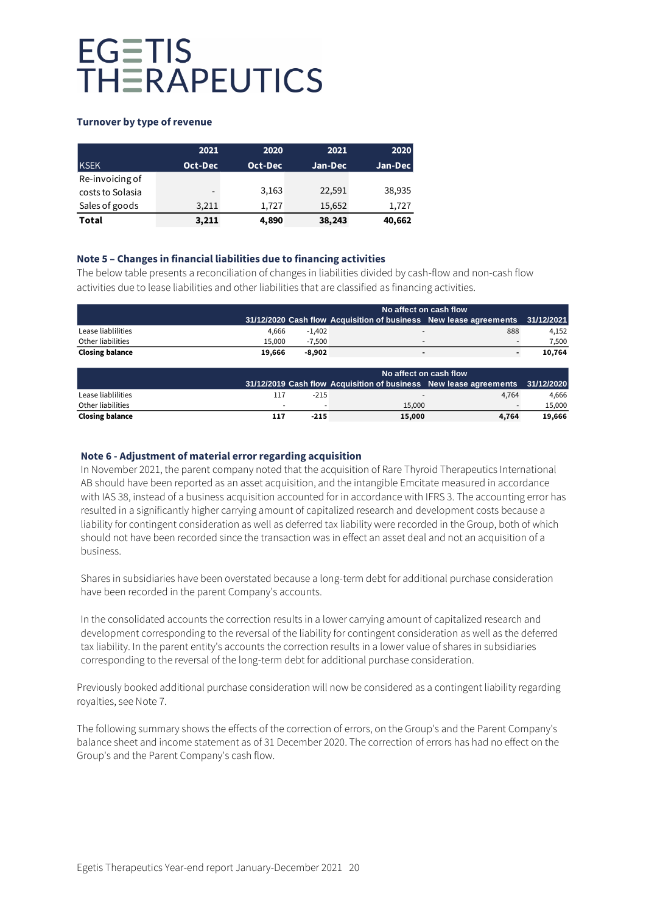# **Turnover by type of revenue**

|                  | 2021    | 2020    | 2021    | 2020    |
|------------------|---------|---------|---------|---------|
| <b>KSEK</b>      | Oct-Dec | Oct-Dec | Jan-Dec | Jan-Dec |
| Re-invoicing of  |         |         |         |         |
| costs to Solasia | -       | 3.163   | 22,591  | 38,935  |
| Sales of goods   | 3,211   | 1.727   | 15,652  | 1,727   |
| Total            | 3,211   | 4,890   | 38,243  | 40,662  |

# **Note 5 – Changes in financial liabilities due to financing activities**

The below table presents a reconciliation of changes in liabilities divided by cash-flow and non-cash flow activities due to lease liabilities and other liabilities that are classified as financing activities.

|                        |        | No affect on cash flow |                          |                                                                              |        |
|------------------------|--------|------------------------|--------------------------|------------------------------------------------------------------------------|--------|
|                        |        |                        |                          | 31/12/2020 Cash flow Acquisition of business New lease agreements 31/12/2021 |        |
| Lease liablilities     | 4.666  | $-1.402$               |                          | 888                                                                          | 4.152  |
| Other liabilities      | 15.000 | $-7.500$               | $\overline{\phantom{a}}$ |                                                                              | 7,500  |
| <b>Closing balance</b> | 19.666 | $-8.902$               | $\overline{\phantom{a}}$ |                                                                              | 10.764 |

|                        |     | No affect on cash flow |        |                                                                              |        |
|------------------------|-----|------------------------|--------|------------------------------------------------------------------------------|--------|
|                        |     |                        |        | 31/12/2019 Cash flow Acquisition of business New lease agreements 31/12/2020 |        |
| Lease liablilities     | 117 | $-215$                 |        | 4.764                                                                        | 4.666  |
| Other liabilities      |     |                        | 15,000 |                                                                              | 15.000 |
| <b>Closing balance</b> | 117 | $-215$                 | 15,000 | 4.764                                                                        | 19.666 |

### **Note 6 - Adjustment of material error regarding acquisition**

In November 2021, the parent company noted that the acquisition of Rare Thyroid Therapeutics International AB should have been reported as an asset acquisition, and the intangible Emcitate measured in accordance with IAS 38, instead of a business acquisition accounted for in accordance with IFRS 3. The accounting error has resulted in a significantly higher carrying amount of capitalized research and development costs because a liability for contingent consideration as well as deferred tax liability were recorded in the Group, both of which should not have been recorded since the transaction was in effect an asset deal and not an acquisition of a business.

Shares in subsidiaries have been overstated because a long-term debt for additional purchase consideration have been recorded in the parent Company's accounts.

In the consolidated accounts the correction results in a lower carrying amount of capitalized research and development corresponding to the reversal of the liability for contingent consideration as well as the deferred tax liability. In the parent entity's accounts the correction results in a lower value of shares in subsidiaries corresponding to the reversal of the long-term debt for additional purchase consideration.

Previously booked additional purchase consideration will now be considered as a contingent liability regarding royalties, see Note 7.

The following summary shows the effects of the correction of errors, on the Group's and the Parent Company's balance sheet and income statement as of 31 December 2020. The correction of errors has had no effect on the Group's and the Parent Company's cash flow.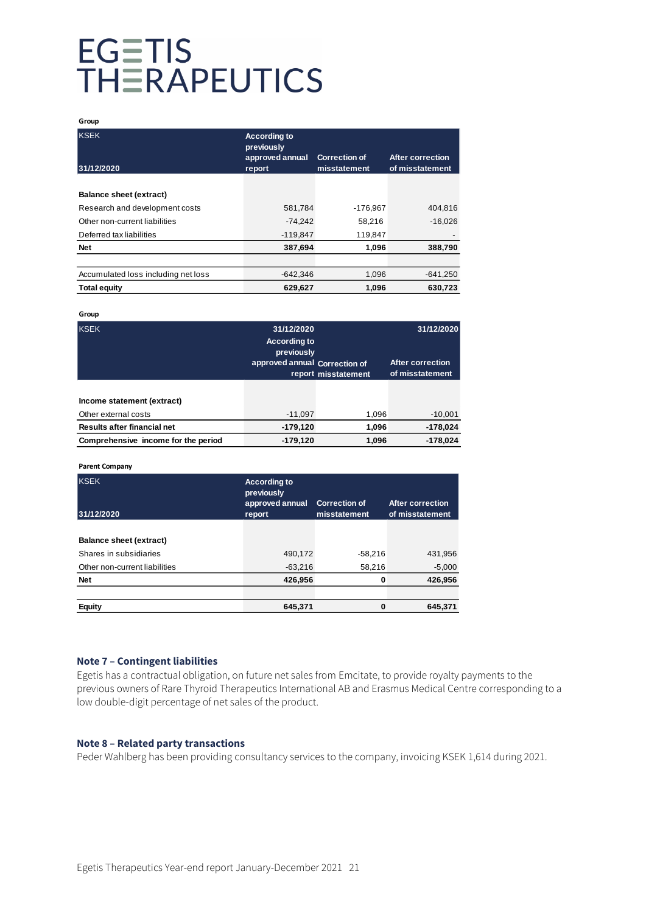#### **Group**

| <b>KSEK</b><br>31/12/2020           | <b>According to</b><br>previously<br>approved annual<br>report | <b>Correction of</b><br>misstatement | After correction<br>of misstatement |
|-------------------------------------|----------------------------------------------------------------|--------------------------------------|-------------------------------------|
|                                     |                                                                |                                      |                                     |
| <b>Balance sheet (extract)</b>      |                                                                |                                      |                                     |
| Research and development costs      | 581,784                                                        | $-176.967$                           | 404.816                             |
| Other non-current liabilities       | $-74.242$                                                      | 58,216                               | $-16.026$                           |
| Deferred tax liabilities            | $-119,847$                                                     | 119,847                              |                                     |
| <b>Net</b>                          | 387,694                                                        | 1,096                                | 388,790                             |
|                                     |                                                                |                                      |                                     |
| Accumulated loss including net loss | $-642.346$                                                     | 1,096                                | $-641,250$                          |
| <b>Total equity</b>                 | 629,627                                                        | 1,096                                | 630,723                             |

#### **Group**

| <b>KSEK</b>                                        | 31/12/2020<br><b>According to</b><br>previously<br>approved annual Correction of | report misstatement | 31/12/2020<br>After correction<br>of misstatement |  |
|----------------------------------------------------|----------------------------------------------------------------------------------|---------------------|---------------------------------------------------|--|
| Income statement (extract)<br>Other external costs | $-11.097$                                                                        | 1.096               | $-10,001$                                         |  |
| Results after financial net                        | $-179,120$                                                                       | 1,096               | $-178,024$                                        |  |
| Comprehensive income for the period                | $-179,120$                                                                       | 1,096               | $-178,024$                                        |  |

#### **Parent Company**

| <b>KSEK</b><br>31/12/2020      | <b>According to</b><br>previously<br>approved annual<br>report | <b>Correction of</b><br>misstatement | <b>After correction</b><br>of misstatement |  |
|--------------------------------|----------------------------------------------------------------|--------------------------------------|--------------------------------------------|--|
|                                |                                                                |                                      |                                            |  |
| <b>Balance sheet (extract)</b> |                                                                |                                      |                                            |  |
| Shares in subsidiaries         | 490,172                                                        | $-58.216$                            | 431,956                                    |  |
| Other non-current liabilities  | $-63.216$                                                      | 58,216                               | $-5,000$                                   |  |
| <b>Net</b>                     | 426,956                                                        | 0                                    | 426,956                                    |  |
|                                |                                                                |                                      |                                            |  |
| <b>Equity</b>                  | 645,371                                                        | 0                                    | 645,371                                    |  |

### **Note 7 – Contingent liabilities**

Egetis has a contractual obligation, on future net sales from Emcitate, to provide royalty payments to the previous owners of Rare Thyroid Therapeutics International AB and Erasmus Medical Centre corresponding to a low double-digit percentage of net sales of the product.

### **Note 8 – Related party transactions**

Peder Wahlberg has been providing consultancy services to the company, invoicing KSEK 1,614 during 2021.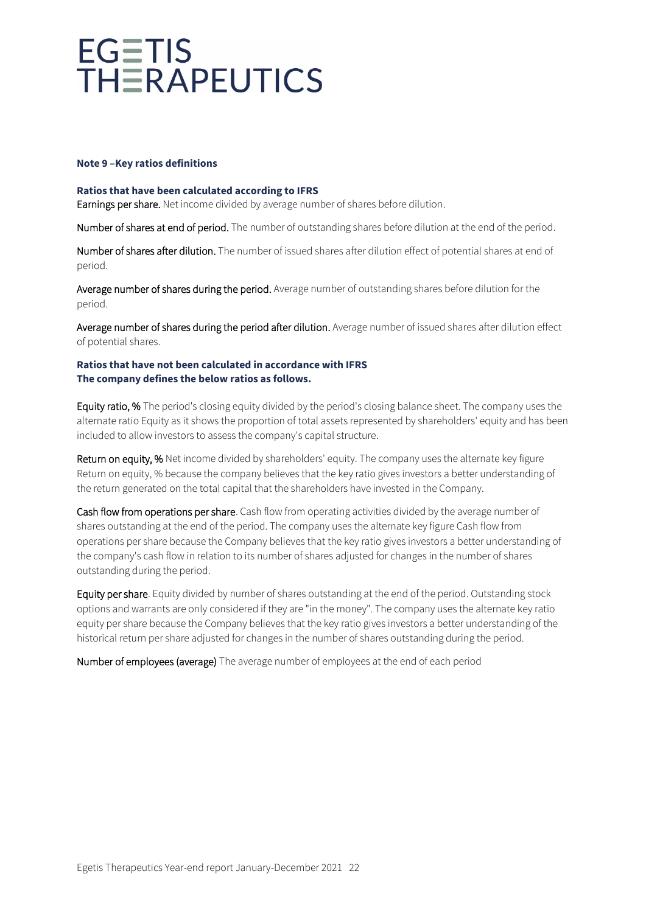### **Note 9 –Key ratios definitions**

### **Ratios that have been calculated according to IFRS**

Earnings per share. Net income divided by average number of shares before dilution.

Number of shares at end of period. The number of outstanding shares before dilution at the end of the period.

Number of shares after dilution. The number of issued shares after dilution effect of potential shares at end of period.

Average number of shares during the period. Average number of outstanding shares before dilution for the period.

Average number of shares during the period after dilution. Average number of issued shares after dilution effect of potential shares.

### **Ratios that have not been calculated in accordance with IFRS The company defines the below ratios as follows.**

Equity ratio, % The period's closing equity divided by the period's closing balance sheet. The company uses the alternate ratio Equity as it shows the proportion of total assets represented by shareholders' equity and has been included to allow investors to assess the company's capital structure.

Return on equity, % Net income divided by shareholders' equity. The company uses the alternate key figure Return on equity, % because the company believes that the key ratio gives investors a better understanding of the return generated on the total capital that the shareholders have invested in the Company.

Cash flow from operations per share. Cash flow from operating activities divided by the average number of shares outstanding at the end of the period. The company uses the alternate key figure Cash flow from operations per share because the Company believes that the key ratio gives investors a better understanding of the company's cash flow in relation to its number of shares adjusted for changes in the number of shares outstanding during the period.

Equity per share. Equity divided by number of shares outstanding at the end of the period. Outstanding stock options and warrants are only considered if they are "in the money". The company uses the alternate key ratio equity per share because the Company believes that the key ratio gives investors a better understanding of the historical return per share adjusted for changes in the number of shares outstanding during the period.

Number of employees (average) The average number of employees at the end of each period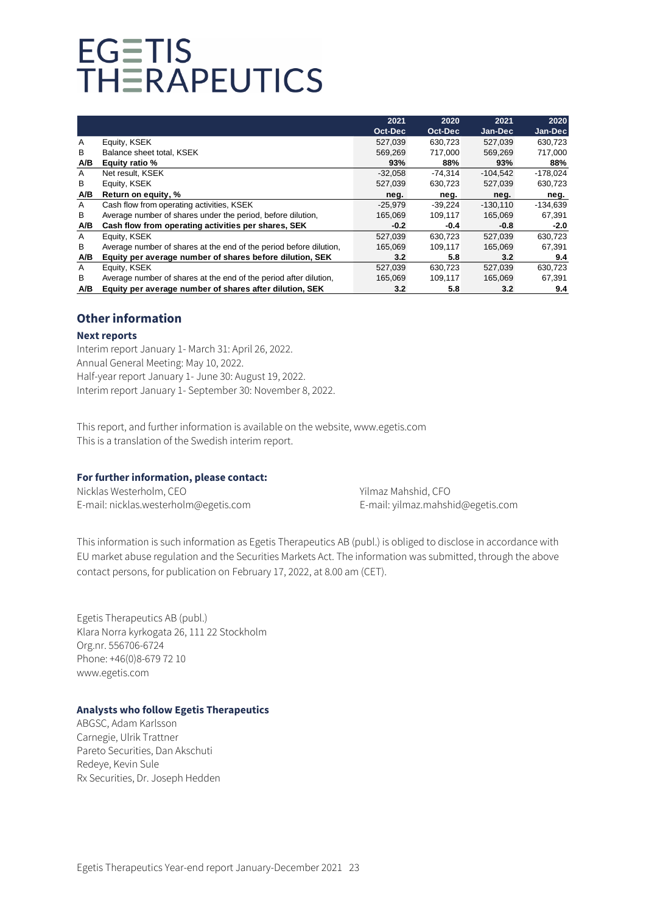|     |                                                                    | 2021      | 2020      | 2021       | 2020       |
|-----|--------------------------------------------------------------------|-----------|-----------|------------|------------|
|     |                                                                    | Oct-Dec   | Oct-Dec   | Jan-Dec    | Jan-Dec    |
| A   | Equity, KSEK                                                       | 527,039   | 630,723   | 527,039    | 630,723    |
| В   | Balance sheet total, KSEK                                          | 569,269   | 717.000   | 569.269    | 717,000    |
| A/B | Equity ratio %                                                     | 93%       | 88%       | 93%        | 88%        |
| A   | Net result. KSEK                                                   | $-32,058$ | $-74.314$ | $-104.542$ | $-178,024$ |
| B   | Equity, KSEK                                                       | 527,039   | 630,723   | 527,039    | 630,723    |
| A/B | Return on equity, %                                                | neg.      | neg.      | neg.       | neg.       |
| A   | Cash flow from operating activities, KSEK                          | $-25,979$ | $-39,224$ | $-130,110$ | -134,639   |
| B   | Average number of shares under the period, before dilution,        | 165.069   | 109.117   | 165.069    | 67,391     |
| A/B | Cash flow from operating activities per shares, SEK                | $-0.2$    | $-0.4$    | $-0.8$     | $-2.0$     |
| A   | Equity, KSEK                                                       | 527.039   | 630.723   | 527.039    | 630,723    |
| B   | Average number of shares at the end of the period before dilution, | 165,069   | 109,117   | 165,069    | 67,391     |
| A/B | Equity per average number of shares before dilution, SEK           | 3.2       | 5.8       | 3.2        | 9.4        |
| A   | Equity, KSEK                                                       | 527,039   | 630.723   | 527.039    | 630,723    |
| B   | Average number of shares at the end of the period after dilution,  | 165.069   | 109,117   | 165.069    | 67.391     |
| A/B | Equity per average number of shares after dilution, SEK            | 3.2       | 5.8       | 3.2        | 9.4        |

# **Other information**

### **Next reports**

Interim report January 1- March 31: April 26, 2022. Annual General Meeting: May 10, 2022. Half-year report January 1- June 30: August 19, 2022. Interim report January 1- September 30: November 8, 2022.

This report, and further information is available on the website, www.egetis.com This is a translation of the Swedish interim report.

# **For further information, please contact:**

Nicklas Westerholm, CEO <br>
Yilmaz Mahshid, CFO E-mail: [nicklas.westerholm@egetis.com](mailto:nicklas.westerholm@egetis.com) E-mail[: yilmaz.mahshid@egetis.com](mailto:yilmaz.mahshid@egetis.com)

This information is such information as Egetis Therapeutics AB (publ.) is obliged to disclose in accordance with EU market abuse regulation and the Securities Markets Act. The information was submitted, through the above contact persons, for publication on February 17, 2022, at 8.00 am (CET).

Egetis Therapeutics AB (publ.) Klara Norra kyrkogata 26, 111 22 Stockholm Org.nr. 556706-6724 Phone: +46(0)8-679 72 10 www.egetis.com

# **Analysts who follow Egetis Therapeutics**

ABGSC, Adam Karlsson Carnegie, Ulrik Trattner Pareto Securities, Dan Akschuti Redeye, Kevin Sule Rx Securities, Dr. Joseph Hedden